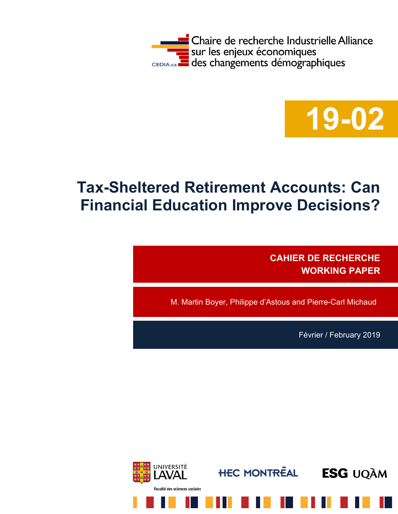



# **Tax-Sheltered Retirement Accounts: Can Financial Education Improve Decisions?**

**CAHIER DE RECHERCHE WORKING PAPER**

M. Martin Boyer, Philippe d'Astous and Pierre-Carl Michaud

Février / February 2019

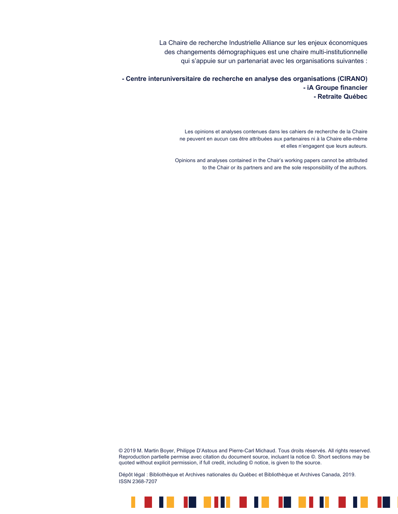La Chaire de recherche Industrielle Alliance sur les enjeux économiques des changements démographiques est une chaire multi-institutionnelle qui s'appuie sur un partenariat avec les organisations suivantes :

**- Centre interuniversitaire de recherche en analyse des organisations (CIRANO) - iA Groupe financier - Retraite Québec**

> Les opinions et analyses contenues dans les cahiers de recherche de la Chaire ne peuvent en aucun cas être attribuées aux partenaires ni à la Chaire elle-même et elles n'engagent que leurs auteurs.

Opinions and analyses contained in the Chair's working papers cannot be attributed to the Chair or its partners and are the sole responsibility of the authors.

© 2019 M. Martin Boyer, Philippe D'Astous and Pierre-Carl Michaud. Tous droits réservés. All rights reserved. Reproduction partielle permise avec citation du document source, incluant la notice ©. Short sections may be quoted without explicit permission, if full credit, including © notice, is given to the source.

. . . . . . . . . . . .

H.

Dépôt légal : Bibliothèque et Archives nationales du Québec et Bibliothèque et Archives Canada, 2019. ISSN 2368-7207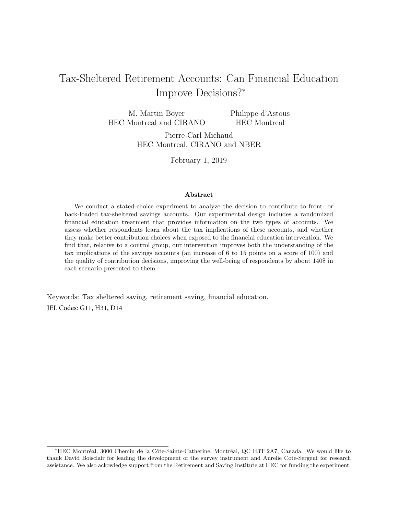# <span id="page-2-0"></span>Tax-Sheltered Retirement Accounts: Can Financial Education Improve Decisions?<sup>∗</sup>

M. Martin Boyer HEC Montreal and CIRANO Philippe d'Astous HEC Montreal

Pierre-Carl Michaud HEC Montreal, CIRANO and NBER

February 1, 2019

#### Abstract

We conduct a stated-choice experiment to analyze the decision to contribute to front- or back-loaded tax-sheltered savings accounts. Our experimental design includes a randomized financial education treatment that provides information on the two types of accounts. We assess whether respondents learn about the tax implications of these accounts, and whether they make better contribution choices when exposed to the financial education intervention. We find that, relative to a control group, our intervention improves both the understanding of the tax implications of the savings accounts (an increase of 6 to 15 points on a score of 100) and the quality of contribution decisions, improving the well-being of respondents by about 140\$ in each scenario presented to them.

Keywords: Tax sheltered saving, retirement saving, financial education. JEL Codes: G11, H31, D14

<sup>∗</sup>HEC Montr´eal, 3000 Chemin de la Cˆote-Sainte-Catherine, Montr´eal, QC H3T 2A7, Canada. We would like to thank David Boisclair for leading the development of the survey instrument and Aurelie Cote-Sergent for research assistance. We also ackowledge support from the Retirement and Saving Institute at HEC for funding the experiment.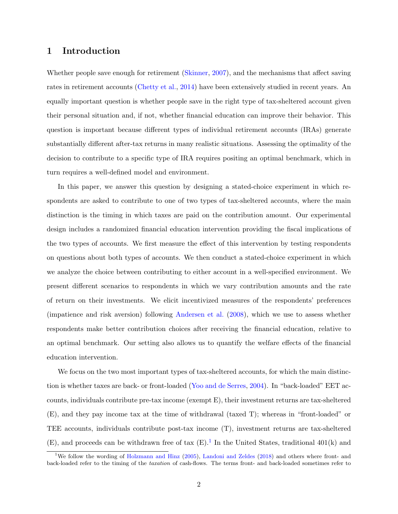## 1 Introduction

Whether people save enough for retirement [\(Skinner,](#page-28-0) [2007\)](#page-28-0), and the mechanisms that affect saving rates in retirement accounts [\(Chetty et al.,](#page-27-0) [2014\)](#page-27-0) have been extensively studied in recent years. An equally important question is whether people save in the right type of tax-sheltered account given their personal situation and, if not, whether financial education can improve their behavior. This question is important because different types of individual retirement accounts (IRAs) generate substantially different after-tax returns in many realistic situations. Assessing the optimality of the decision to contribute to a specific type of IRA requires positing an optimal benchmark, which in turn requires a well-defined model and environment.

In this paper, we answer this question by designing a stated-choice experiment in which respondents are asked to contribute to one of two types of tax-sheltered accounts, where the main distinction is the timing in which taxes are paid on the contribution amount. Our experimental design includes a randomized financial education intervention providing the fiscal implications of the two types of accounts. We first measure the effect of this intervention by testing respondents on questions about both types of accounts. We then conduct a stated-choice experiment in which we analyze the choice between contributing to either account in a well-specified environment. We present different scenarios to respondents in which we vary contribution amounts and the rate of return on their investments. We elicit incentivized measures of the respondents' preferences (impatience and risk aversion) following [Andersen et al.](#page-27-1) [\(2008\)](#page-27-1), which we use to assess whether respondents make better contribution choices after receiving the financial education, relative to an optimal benchmark. Our setting also allows us to quantify the welfare effects of the financial education intervention.

We focus on the two most important types of tax-sheltered accounts, for which the main distinction is whether taxes are back- or front-loaded [\(Yoo and de Serres,](#page-28-1) [2004\)](#page-28-1). In "back-loaded" EET accounts, individuals contribute pre-tax income (exempt E), their investment returns are tax-sheltered (E), and they pay income tax at the time of withdrawal (taxed T); whereas in "front-loaded" or TEE accounts, individuals contribute post-tax income (T), investment returns are tax-sheltered  $(E)$ , and proceeds can be withdrawn free of tax  $(E)$ .<sup>[1](#page-2-0)</sup> In the United States, traditional 401(k) and

<sup>&</sup>lt;sup>1</sup>We follow the wording of [Holzmann and Hinz](#page-27-2) [\(2005\)](#page-27-2), [Landoni and Zeldes](#page-28-2) [\(2018\)](#page-28-2) and others where front- and back-loaded refer to the timing of the taxation of cash-flows. The terms front- and back-loaded sometimes refer to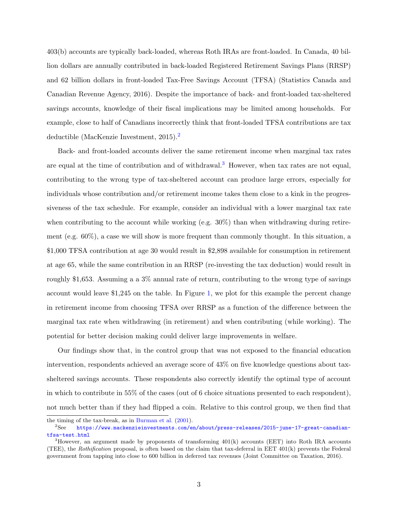403(b) accounts are typically back-loaded, whereas Roth IRAs are front-loaded. In Canada, 40 billion dollars are annually contributed in back-loaded Registered Retirement Savings Plans (RRSP) and 62 billion dollars in front-loaded Tax-Free Savings Account (TFSA) (Statistics Canada and Canadian Revenue Agency, 2016). Despite the importance of back- and front-loaded tax-sheltered savings accounts, knowledge of their fiscal implications may be limited among households. For example, close to half of Canadians incorrectly think that front-loaded TFSA contributions are tax deductible (MacKenzie Investment, [2](#page-2-0)015).<sup>2</sup>

Back- and front-loaded accounts deliver the same retirement income when marginal tax rates are equal at the time of contribution and of withdrawal.<sup>[3](#page-2-0)</sup> However, when tax rates are not equal, contributing to the wrong type of tax-sheltered account can produce large errors, especially for individuals whose contribution and/or retirement income takes them close to a kink in the progressiveness of the tax schedule. For example, consider an individual with a lower marginal tax rate when contributing to the account while working  $(e.g. 30\%)$  than when withdrawing during retirement (e.g. 60%), a case we will show is more frequent than commonly thought. In this situation, a \$1,000 TFSA contribution at age 30 would result in \$2,898 available for consumption in retirement at age 65, while the same contribution in an RRSP (re-investing the tax deduction) would result in roughly \$1,653. Assuming a a 3% annual rate of return, contributing to the wrong type of savings account would leave \$1,245 on the table. In Figure [1,](#page-29-0) we plot for this example the percent change in retirement income from choosing TFSA over RRSP as a function of the difference between the marginal tax rate when withdrawing (in retirement) and when contributing (while working). The potential for better decision making could deliver large improvements in welfare.

Our findings show that, in the control group that was not exposed to the financial education intervention, respondents achieved an average score of 43% on five knowledge questions about taxsheltered savings accounts. These respondents also correctly identify the optimal type of account in which to contribute in 55% of the cases (out of 6 choice situations presented to each respondent), not much better than if they had flipped a coin. Relative to this control group, we then find that

the timing of the tax-break, as in [Burman et al.](#page-27-3) [\(2001\)](#page-27-3).

<sup>2</sup>See [https://www.mackenzieinvestments.com/en/about/press-releases/2015-june-17-great-canadian](https://www.mackenzieinvestments.com/en/about/press-releases/2015-june-17-great-canadian-tfsa-test.html)[tfsa-test.html](https://www.mackenzieinvestments.com/en/about/press-releases/2015-june-17-great-canadian-tfsa-test.html)

<sup>&</sup>lt;sup>3</sup>However, an argument made by proponents of transforming 401(k) accounts (EET) into Roth IRA accounts (TEE), the Rothification proposal, is often based on the claim that tax-deferral in EET 401(k) prevents the Federal government from tapping into close to 600 billion in deferred tax revenues (Joint Committee on Taxation, 2016).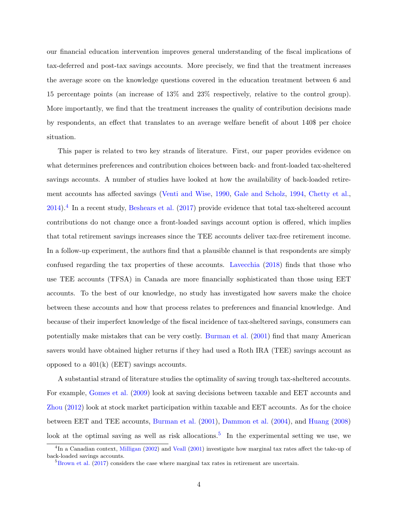our financial education intervention improves general understanding of the fiscal implications of tax-deferred and post-tax savings accounts. More precisely, we find that the treatment increases the average score on the knowledge questions covered in the education treatment between 6 and 15 percentage points (an increase of 13% and 23% respectively, relative to the control group). More importantly, we find that the treatment increases the quality of contribution decisions made by respondents, an effect that translates to an average welfare benefit of about 140\$ per choice situation.

This paper is related to two key strands of literature. First, our paper provides evidence on what determines preferences and contribution choices between back- and front-loaded tax-sheltered savings accounts. A number of studies have looked at how the availability of back-loaded retirement accounts has affected savings [\(Venti and Wise,](#page-28-3) [1990,](#page-28-3) [Gale and Scholz,](#page-27-4) [1994,](#page-27-4) [Chetty et al.,](#page-27-0)  $2014$  $2014$ .<sup>4</sup> In a recent study, [Beshears et al.](#page-27-5) [\(2017\)](#page-27-5) provide evidence that total tax-sheltered account contributions do not change once a front-loaded savings account option is offered, which implies that total retirement savings increases since the TEE accounts deliver tax-free retirement income. In a follow-up experiment, the authors find that a plausible channel is that respondents are simply confused regarding the tax properties of these accounts. [Lavecchia](#page-28-4) [\(2018\)](#page-28-4) finds that those who use TEE accounts (TFSA) in Canada are more financially sophisticated than those using EET accounts. To the best of our knowledge, no study has investigated how savers make the choice between these accounts and how that process relates to preferences and financial knowledge. And because of their imperfect knowledge of the fiscal incidence of tax-sheltered savings, consumers can potentially make mistakes that can be very costly. [Burman et al.](#page-27-3) [\(2001\)](#page-27-3) find that many American savers would have obtained higher returns if they had used a Roth IRA (TEE) savings account as opposed to a  $401(k)$  (EET) savings accounts.

A substantial strand of literature studies the optimality of saving trough tax-sheltered accounts. For example, [Gomes et al.](#page-27-6) [\(2009\)](#page-27-6) look at saving decisions between taxable and EET accounts and [Zhou](#page-28-5) [\(2012\)](#page-28-5) look at stock market participation within taxable and EET accounts. As for the choice between EET and TEE accounts, [Burman et al.](#page-27-3) [\(2001\)](#page-27-3), [Dammon et al.](#page-27-7) [\(2004\)](#page-27-7), and [Huang](#page-27-8) [\(2008\)](#page-27-8) look at the optimal saving as well as risk allocations.<sup>[5](#page-2-0)</sup> In the experimental setting we use, we

<sup>&</sup>lt;sup>4</sup>In a Canadian context, [Milligan](#page-28-6) [\(2002\)](#page-28-6) and [Veall](#page-28-7) [\(2001\)](#page-28-7) investigate how marginal tax rates affect the take-up of back-loaded savings accounts.

 $5Brown$  et al. [\(2017\)](#page-27-9) considers the case where marginal tax rates in retirement are uncertain.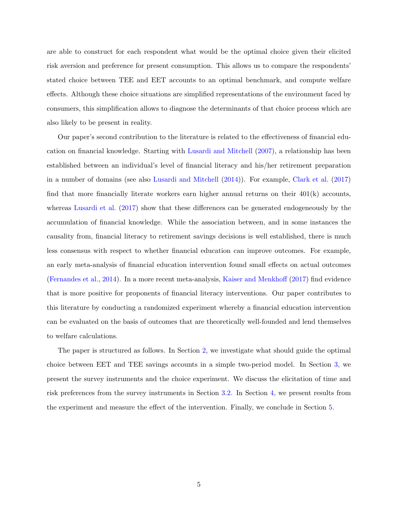are able to construct for each respondent what would be the optimal choice given their elicited risk aversion and preference for present consumption. This allows us to compare the respondents' stated choice between TEE and EET accounts to an optimal benchmark, and compute welfare effects. Although these choice situations are simplified representations of the environment faced by consumers, this simplification allows to diagnose the determinants of that choice process which are also likely to be present in reality.

Our paper's second contribution to the literature is related to the effectiveness of financial education on financial knowledge. Starting with [Lusardi and Mitchell](#page-28-8) [\(2007\)](#page-28-8), a relationship has been established between an individual's level of financial literacy and his/her retirement preparation in a number of domains (see also [Lusardi and Mitchell](#page-28-9) [\(2014\)](#page-28-9)). For example, [Clark et al.](#page-27-10) [\(2017\)](#page-27-10) find that more financially literate workers earn higher annual returns on their  $401(k)$  accounts, whereas [Lusardi et al.](#page-28-10) [\(2017\)](#page-28-10) show that these differences can be generated endogeneously by the accumulation of financial knowledge. While the association between, and in some instances the causality from, financial literacy to retirement savings decisions is well established, there is much less consensus with respect to whether financial education can improve outcomes. For example, an early meta-analysis of financial education intervention found small effects on actual outcomes [\(Fernandes et al.,](#page-27-11) [2014\)](#page-27-11). In a more recent meta-analysis, [Kaiser and Menkhoff](#page-27-12) [\(2017\)](#page-27-12) find evidence that is more positive for proponents of financial literacy interventions. Our paper contributes to this literature by conducting a randomized experiment whereby a financial education intervention can be evaluated on the basis of outcomes that are theoretically well-founded and lend themselves to welfare calculations.

The paper is structured as follows. In Section [2,](#page-7-0) we investigate what should guide the optimal choice between EET and TEE savings accounts in a simple two-period model. In Section [3,](#page-11-0) we present the survey instruments and the choice experiment. We discuss the elicitation of time and risk preferences from the survey instruments in Section [3.2.](#page-12-0) In Section [4,](#page-18-0) we present results from the experiment and measure the effect of the intervention. Finally, we conclude in Section [5.](#page-25-0)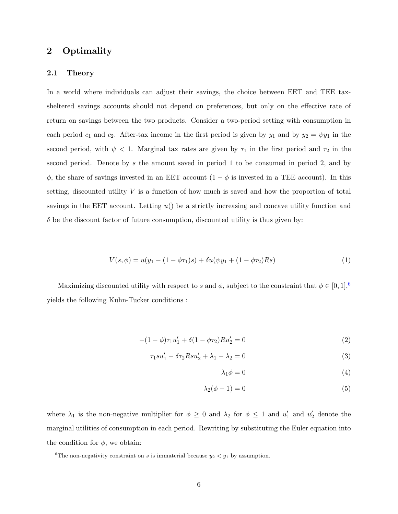## <span id="page-7-0"></span>2 Optimality

## 2.1 Theory

In a world where individuals can adjust their savings, the choice between EET and TEE taxsheltered savings accounts should not depend on preferences, but only on the effective rate of return on savings between the two products. Consider a two-period setting with consumption in each period  $c_1$  and  $c_2$ . After-tax income in the first period is given by  $y_1$  and by  $y_2 = \psi y_1$  in the second period, with  $\psi$  < 1. Marginal tax rates are given by  $\tau_1$  in the first period and  $\tau_2$  in the second period. Denote by s the amount saved in period 1 to be consumed in period 2, and by  $\phi$ , the share of savings invested in an EET account  $(1 - \phi)$  is invested in a TEE account). In this setting, discounted utility V is a function of how much is saved and how the proportion of total savings in the EET account. Letting  $u()$  be a strictly increasing and concave utility function and  $\delta$  be the discount factor of future consumption, discounted utility is thus given by:

$$
V(s, \phi) = u(y_1 - (1 - \phi \tau_1)s) + \delta u(\psi y_1 + (1 - \phi \tau_2)Rs)
$$
\n(1)

Maximizing discounted utility with respect to s and  $\phi$ , subject to the constraint that  $\phi \in [0,1],^6$  $\phi \in [0,1],^6$ yields the following Kuhn-Tucker conditions :

$$
-(1 - \phi)\tau_1 u_1' + \delta(1 - \phi\tau_2)Ru_2' = 0
$$
\n(2)

$$
\tau_1 s u_1' - \delta \tau_2 R s u_2' + \lambda_1 - \lambda_2 = 0 \tag{3}
$$

$$
\lambda_1 \phi = 0 \tag{4}
$$

$$
\lambda_2(\phi - 1) = 0 \tag{5}
$$

where  $\lambda_1$  is the non-negative multiplier for  $\phi \geq 0$  and  $\lambda_2$  for  $\phi \leq 1$  and  $u'_1$  and  $u'_2$  denote the marginal utilities of consumption in each period. Rewriting by substituting the Euler equation into the condition for  $\phi$ , we obtain:

<sup>&</sup>lt;sup>6</sup>The non-negativity constraint on s is immaterial because  $y_2 < y_1$  by assumption.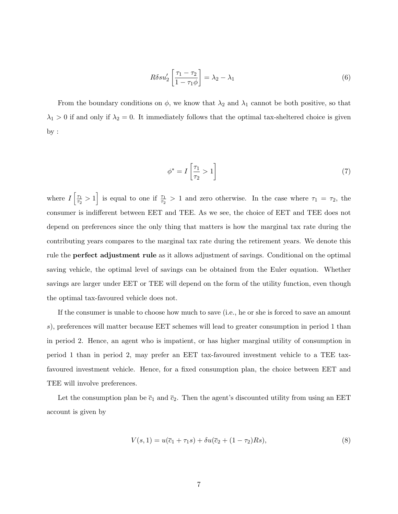$$
R\delta s u_2' \left[ \frac{\tau_1 - \tau_2}{1 - \tau_1 \phi} \right] = \lambda_2 - \lambda_1 \tag{6}
$$

From the boundary conditions on  $\phi$ , we know that  $\lambda_2$  and  $\lambda_1$  cannot be both positive, so that  $\lambda_1 > 0$  if and only if  $\lambda_2 = 0$ . It immediately follows that the optimal tax-sheltered choice is given by :

$$
\phi^* = I\left[\frac{\tau_1}{\tau_2} > 1\right] \tag{7}
$$

where  $I\left[\frac{\tau_1}{\tau_2}\right]$  $\frac{\tau_1}{\tau_2} > 1$  is equal to one if  $\frac{\tau_1}{\tau_2} > 1$  and zero otherwise. In the case where  $\tau_1 = \tau_2$ , the consumer is indifferent between EET and TEE. As we see, the choice of EET and TEE does not depend on preferences since the only thing that matters is how the marginal tax rate during the contributing years compares to the marginal tax rate during the retirement years. We denote this rule the perfect adjustment rule as it allows adjustment of savings. Conditional on the optimal saving vehicle, the optimal level of savings can be obtained from the Euler equation. Whether savings are larger under EET or TEE will depend on the form of the utility function, even though the optimal tax-favoured vehicle does not.

If the consumer is unable to choose how much to save (i.e., he or she is forced to save an amount s), preferences will matter because EET schemes will lead to greater consumption in period 1 than in period 2. Hence, an agent who is impatient, or has higher marginal utility of consumption in period 1 than in period 2, may prefer an EET tax-favoured investment vehicle to a TEE taxfavoured investment vehicle. Hence, for a fixed consumption plan, the choice between EET and TEE will involve preferences.

Let the consumption plan be  $\bar{c}_1$  and  $\bar{c}_2$ . Then the agent's discounted utility from using an EET account is given by

$$
V(s,1) = u(\overline{c}_1 + \tau_1 s) + \delta u(\overline{c}_2 + (1 - \tau_2)Rs), \tag{8}
$$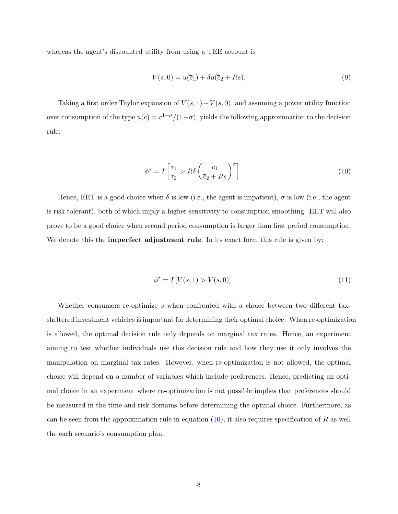whereas the agent's discounted utility from using a TEE account is

$$
V(s,0) = u(\overline{c}_1) + \delta u(\overline{c}_2 + Rs). \tag{9}
$$

Taking a first order Taylor expansion of  $V(s, 1) - V(s, 0)$ , and assuming a power utility function over consumption of the type  $u(c) = c^{1-\sigma}/(1-\sigma)$ , yields the following approximation to the decision rule:

<span id="page-9-0"></span>
$$
\phi^* = I\left[\frac{\tau_1}{\tau_2} > R\delta\left(\frac{\overline{c}_1}{\overline{c}_2 + Rs}\right)^\sigma\right] \tag{10}
$$

Hence, EET is a good choice when  $\delta$  is low (i.e., the agent is impatient),  $\sigma$  is low (i.e., the agent is risk tolerant), both of which imply a higher sensitivity to consumption smoothing. EET will also prove to be a good choice when second period consumption is larger than first period consumption. We denote this the **imperfect adjustment rule**. In its exact form this rule is given by:

<span id="page-9-1"></span>
$$
\phi^* = I[V(s, 1) > V(s, 0)]\tag{11}
$$

Whether consumers re-optimize s when confronted with a choice between two different taxsheltered investment vehicles is important for determining their optimal choice. When re-optimization is allowed, the optimal decision rule only depends on marginal tax rates. Hence, an experiment aiming to test whether individuals use this decision rule and how they use it only involves the manipulation on marginal tax rates. However, when re-optimization is not allowed, the optimal choice will depend on a number of variables which include preferences. Hence, predicting an optimal choice in an experiment where re-optimization is not possible implies that preferences should be measured in the time and risk domains before determining the optimal choice. Furthermore, as can be seen from the approximation rule in equation  $(10)$ , it also requires specification of R as well the each scenario's consumption plan.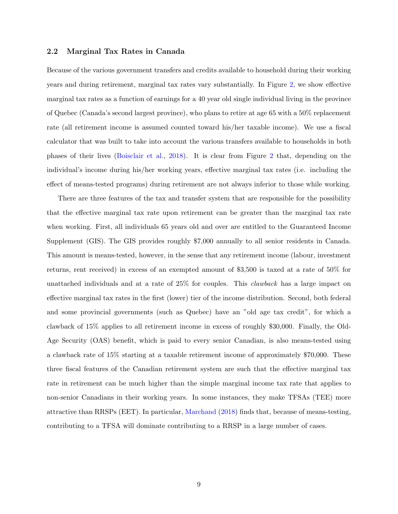## 2.2 Marginal Tax Rates in Canada

Because of the various government transfers and credits available to household during their working years and during retirement, marginal tax rates vary substantially. In Figure [2,](#page-30-0) we show effective marginal tax rates as a function of earnings for a 40 year old single individual living in the province of Quebec (Canada's second largest province), who plans to retire at age 65 with a 50% replacement rate (all retirement income is assumed counted toward his/her taxable income). We use a fiscal calculator that was built to take into account the various transfers available to households in both phases of their lives [\(Boisclair et al.,](#page-27-13) [2018\)](#page-27-13). It is clear from Figure [2](#page-30-0) that, depending on the individual's income during his/her working years, effective marginal tax rates (i.e. including the effect of means-tested programs) during retirement are not always inferior to those while working.

There are three features of the tax and transfer system that are responsible for the possibility that the effective marginal tax rate upon retirement can be greater than the marginal tax rate when working. First, all individuals 65 years old and over are entitled to the Guaranteed Income Supplement (GIS). The GIS provides roughly \$7,000 annually to all senior residents in Canada. This amount is means-tested, however, in the sense that any retirement income (labour, investment returns, rent received) in excess of an exempted amount of \$3,500 is taxed at a rate of 50% for unattached individuals and at a rate of 25% for couples. This clawback has a large impact on effective marginal tax rates in the first (lower) tier of the income distribution. Second, both federal and some provincial governments (such as Quebec) have an "old age tax credit", for which a clawback of 15% applies to all retirement income in excess of roughly \$30,000. Finally, the Old-Age Security (OAS) benefit, which is paid to every senior Canadian, is also means-tested using a clawback rate of 15% starting at a taxable retirement income of approximately \$70,000. These three fiscal features of the Canadian retirement system are such that the effective marginal tax rate in retirement can be much higher than the simple marginal income tax rate that applies to non-senior Canadians in their working years. In some instances, they make TFSAs (TEE) more attractive than RRSPs (EET). In particular, [Marchand](#page-28-11) [\(2018\)](#page-28-11) finds that, because of means-testing, contributing to a TFSA will dominate contributing to a RRSP in a large number of cases.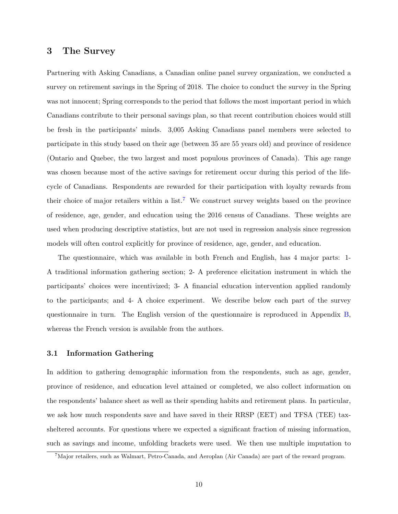## <span id="page-11-0"></span>3 The Survey

Partnering with Asking Canadians, a Canadian online panel survey organization, we conducted a survey on retirement savings in the Spring of 2018. The choice to conduct the survey in the Spring was not innocent; Spring corresponds to the period that follows the most important period in which Canadians contribute to their personal savings plan, so that recent contribution choices would still be fresh in the participants' minds. 3,005 Asking Canadians panel members were selected to participate in this study based on their age (between 35 are 55 years old) and province of residence (Ontario and Quebec, the two largest and most populous provinces of Canada). This age range was chosen because most of the active savings for retirement occur during this period of the lifecycle of Canadians. Respondents are rewarded for their participation with loyalty rewards from their choice of major retailers within a list.<sup>[7](#page-2-0)</sup> We construct survey weights based on the province of residence, age, gender, and education using the 2016 census of Canadians. These weights are used when producing descriptive statistics, but are not used in regression analysis since regression models will often control explicitly for province of residence, age, gender, and education.

The questionnaire, which was available in both French and English, has 4 major parts: 1- A traditional information gathering section; 2- A preference elicitation instrument in which the participants' choices were incentivized; 3- A financial education intervention applied randomly to the participants; and 4- A choice experiment. We describe below each part of the survey questionnaire in turn. The English version of the questionnaire is reproduced in Appendix [B,](#page-46-0) whereas the French version is available from the authors.

## 3.1 Information Gathering

In addition to gathering demographic information from the respondents, such as age, gender, province of residence, and education level attained or completed, we also collect information on the respondents' balance sheet as well as their spending habits and retirement plans. In particular, we ask how much respondents save and have saved in their RRSP (EET) and TFSA (TEE) taxsheltered accounts. For questions where we expected a significant fraction of missing information, such as savings and income, unfolding brackets were used. We then use multiple imputation to

<sup>7</sup>Major retailers, such as Walmart, Petro-Canada, and Aeroplan (Air Canada) are part of the reward program.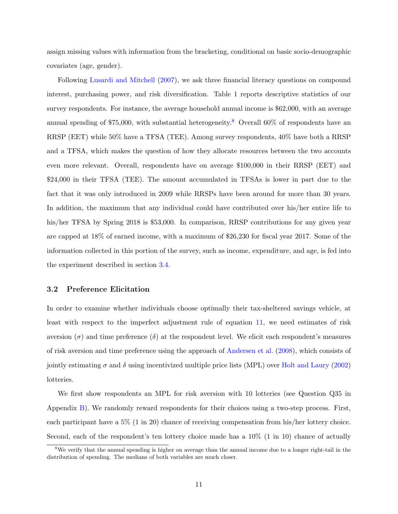assign missing values with information from the bracketing, conditional on basic socio-demographic covariates (age, gender).

Following [Lusardi and Mitchell](#page-28-8) [\(2007\)](#page-28-8), we ask three financial literacy questions on compound interest, purchasing power, and risk diversification. Table 1 reports descriptive statistics of our survey respondents. For instance, the average household annual income is \$62,000, with an average annual spending of \$75,000, with substantial heterogeneity.<sup>[8](#page-2-0)</sup> Overall  $60\%$  of respondents have an RRSP (EET) while 50% have a TFSA (TEE). Among survey respondents, 40% have both a RRSP and a TFSA, which makes the question of how they allocate resources between the two accounts even more relevant. Overall, respondents have on average \$100,000 in their RRSP (EET) and \$24,000 in their TFSA (TEE). The amount accumulated in TFSAs is lower in part due to the fact that it was only introduced in 2009 while RRSPs have been around for more than 30 years. In addition, the maximum that any individual could have contributed over his/her entire life to his/her TFSA by Spring 2018 is \$53,000. In comparison, RRSP contributions for any given year are capped at 18% of earned income, with a maximum of \$26,230 for fiscal year 2017. Some of the information collected in this portion of the survey, such as income, expenditure, and age, is fed into the experiment described in section [3.4.](#page-15-0)

#### <span id="page-12-0"></span>3.2 Preference Elicitation

In order to examine whether individuals choose optimally their tax-sheltered savings vehicle, at least with respect to the imperfect adjustment rule of equation [11,](#page-9-1) we need estimates of risk aversion ( $\sigma$ ) and time preference ( $\delta$ ) at the respondent level. We elicit each respondent's measures of risk aversion and time preference using the approach of [Andersen et al.](#page-27-1) [\(2008\)](#page-27-1), which consists of jointly estimating  $\sigma$  and  $\delta$  using incentivized multiple price lists (MPL) over [Holt and Laury](#page-27-14) [\(2002\)](#page-27-14) lotteries.

We first show respondents an MPL for risk aversion with 10 lotteries (see Question Q35 in Appendix [B\)](#page-46-0). We randomly reward respondents for their choices using a two-step process. First, each participant have a 5% (1 in 20) chance of receiving compensation from his/her lottery choice. Second, each of the respondent's ten lottery choice made has a  $10\%$  (1 in 10) chance of actually

<sup>&</sup>lt;sup>8</sup>We verify that the annual spending is higher on average than the annual income due to a longer right-tail in the distribution of spending. The medians of both variables are much closer.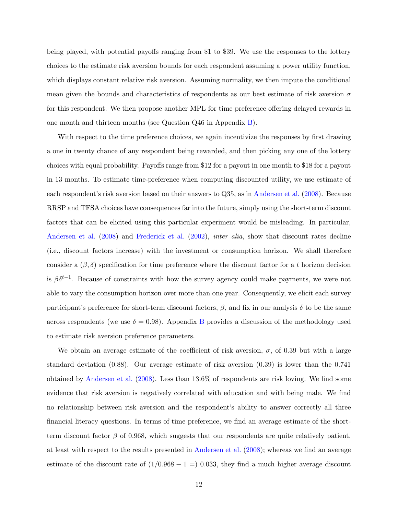being played, with potential payoffs ranging from \$1 to \$39. We use the responses to the lottery choices to the estimate risk aversion bounds for each respondent assuming a power utility function, which displays constant relative risk aversion. Assuming normality, we then impute the conditional mean given the bounds and characteristics of respondents as our best estimate of risk aversion  $\sigma$ for this respondent. We then propose another MPL for time preference offering delayed rewards in one month and thirteen months (see Question Q46 in Appendix [B\)](#page-46-0).

With respect to the time preference choices, we again incentivize the responses by first drawing a one in twenty chance of any respondent being rewarded, and then picking any one of the lottery choices with equal probability. Payoffs range from \$12 for a payout in one month to \$18 for a payout in 13 months. To estimate time-preference when computing discounted utility, we use estimate of each respondent's risk aversion based on their answers to Q35, as in [Andersen et al.](#page-27-1) [\(2008\)](#page-27-1). Because RRSP and TFSA choices have consequences far into the future, simply using the short-term discount factors that can be elicited using this particular experiment would be misleading. In particular, [Andersen et al.](#page-27-1) [\(2008\)](#page-27-1) and [Frederick et al.](#page-27-15) [\(2002\)](#page-27-15), inter alia, show that discount rates decline (i.e., discount factors increase) with the investment or consumption horizon. We shall therefore consider a  $(\beta, \delta)$  specification for time preference where the discount factor for a t horizon decision is  $\beta \delta^{t-1}$ . Because of constraints with how the survey agency could make payments, we were not able to vary the consumption horizon over more than one year. Consequently, we elicit each survey participant's preference for short-term discount factors,  $\beta$ , and fix in our analysis  $\delta$  to be the same across respondents (we use  $\delta = 0.98$ ). Appendix [B](#page-46-0) provides a discussion of the methodology used to estimate risk aversion preference parameters.

We obtain an average estimate of the coefficient of risk aversion,  $\sigma$ , of 0.39 but with a large standard deviation (0.88). Our average estimate of risk aversion (0.39) is lower than the 0.741 obtained by [Andersen et al.](#page-27-1) [\(2008\)](#page-27-1). Less than 13.6% of respondents are risk loving. We find some evidence that risk aversion is negatively correlated with education and with being male. We find no relationship between risk aversion and the respondent's ability to answer correctly all three financial literacy questions. In terms of time preference, we find an average estimate of the shortterm discount factor  $\beta$  of 0.968, which suggests that our respondents are quite relatively patient, at least with respect to the results presented in [Andersen et al.](#page-27-1) [\(2008\)](#page-27-1); whereas we find an average estimate of the discount rate of  $(1/0.968 - 1 = 0.033$ , they find a much higher average discount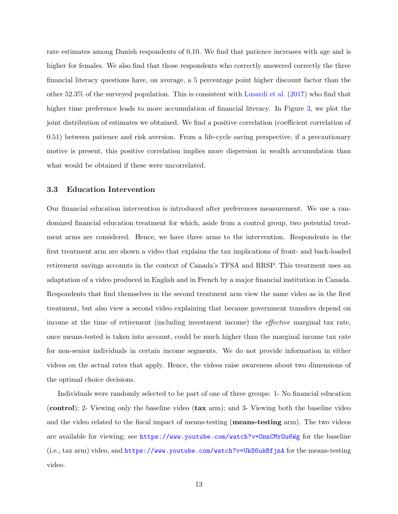rate estimates among Danish respondents of 0.10. We find that patience increases with age and is higher for females. We also find that those respondents who correctly answered correctly the three financial literacy questions have, on average, a 5 percentage point higher discount factor than the other 52.3% of the surveyed population. This is consistent with [Lusardi et al.](#page-28-10) [\(2017\)](#page-28-10) who find that higher time preference leads to more accumulation of financial literacy. In Figure [3,](#page-31-0) we plot the joint distribution of estimates we obtained. We find a positive correlation (coefficient correlation of 0.51) between patience and risk aversion. From a life-cycle saving perspective, if a precautionary motive is present, this positive correlation implies more dispersion in wealth accumulation than what would be obtained if these were uncorrelated.

#### 3.3 Education Intervention

Our financial education intervention is introduced after preferences measurement. We use a randomized financial education treatment for which, aside from a control group, two potential treatment arms are considered. Hence, we have three arms to the intervention. Respondents in the first treatment arm are shown a video that explains the tax implications of front- and back-loaded retirement savings accounts in the context of Canada's TFSA and RRSP. This treatment uses an adaptation of a video produced in English and in French by a major financial institution in Canada. Respondents that find themselves in the second treatment arm view the same video as in the first treatment, but also view a second video explaining that because government transfers depend on income at the time of retirement (including investment income) the *effective* marginal tax rate, once means-tested is taken into account, could be much higher than the marginal income tax rate for non-senior individuals in certain income segments. We do not provide information in either videos on the actual rates that apply. Hence, the videos raise awareness about two dimensions of the optimal choice decisions.

Individuals were randomly selected to be part of one of three groups: 1- No financial education (control); 2- Viewing only the baseline video (tax arm); and 3- Viewing both the baseline video and the video related to the fiscal impact of means-testing (means-testing arm). The two videos are available for viewing; see <https://www.youtube.com/watch?v=OnnCMrOu6Wg> for the baseline (i.e., tax arm) video, and <https://www.youtube.com/watch?v=UkS6ukBfjnA> for the means-testing video.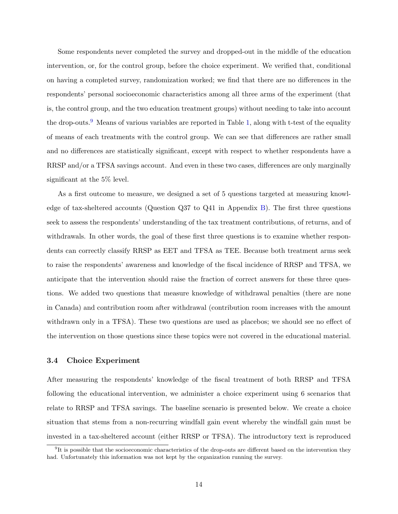Some respondents never completed the survey and dropped-out in the middle of the education intervention, or, for the control group, before the choice experiment. We verified that, conditional on having a completed survey, randomization worked; we find that there are no differences in the respondents' personal socioeconomic characteristics among all three arms of the experiment (that is, the control group, and the two education treatment groups) without needing to take into account the drop-outs.<sup>[9](#page-2-0)</sup> Means of various variables are reported in Table [1,](#page-34-0) along with t-test of the equality of means of each treatments with the control group. We can see that differences are rather small and no differences are statistically significant, except with respect to whether respondents have a RRSP and/or a TFSA savings account. And even in these two cases, differences are only marginally significant at the 5% level.

As a first outcome to measure, we designed a set of 5 questions targeted at measuring knowledge of tax-sheltered accounts (Question Q37 to Q41 in Appendix [B\)](#page-46-0). The first three questions seek to assess the respondents' understanding of the tax treatment contributions, of returns, and of withdrawals. In other words, the goal of these first three questions is to examine whether respondents can correctly classify RRSP as EET and TFSA as TEE. Because both treatment arms seek to raise the respondents' awareness and knowledge of the fiscal incidence of RRSP and TFSA, we anticipate that the intervention should raise the fraction of correct answers for these three questions. We added two questions that measure knowledge of withdrawal penalties (there are none in Canada) and contribution room after withdrawal (contribution room increases with the amount withdrawn only in a TFSA). These two questions are used as placebos; we should see no effect of the intervention on those questions since these topics were not covered in the educational material.

## <span id="page-15-0"></span>3.4 Choice Experiment

After measuring the respondents' knowledge of the fiscal treatment of both RRSP and TFSA following the educational intervention, we administer a choice experiment using 6 scenarios that relate to RRSP and TFSA savings. The baseline scenario is presented below. We create a choice situation that stems from a non-recurring windfall gain event whereby the windfall gain must be invested in a tax-sheltered account (either RRSP or TFSA). The introductory text is reproduced

 ${}^{9}$ It is possible that the socioeconomic characteristics of the drop-outs are different based on the intervention they had. Unfortunately this information was not kept by the organization running the survey.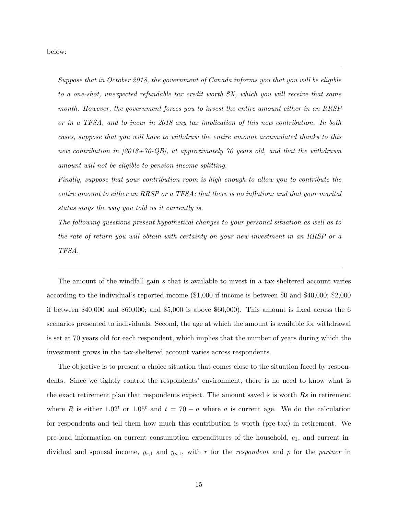below:

Suppose that in October 2018, the government of Canada informs you that you will be eligible to a one-shot, unexpected refundable tax credit worth \$X, which you will receive that same month. However, the government forces you to invest the entire amount either in an RRSP or in a TFSA, and to incur in 2018 any tax implication of this new contribution. In both cases, suppose that you will have to withdraw the entire amount accumulated thanks to this new contribution in [2018+70-QB], at approximately 70 years old, and that the withdrawn amount will not be eligible to pension income splitting.

Finally, suppose that your contribution room is high enough to allow you to contribute the entire amount to either an RRSP or a TFSA; that there is no inflation; and that your marital status stays the way you told us it currently is.

The following questions present hypothetical changes to your personal situation as well as to the rate of return you will obtain with certainty on your new investment in an RRSP or a TFSA.

The amount of the windfall gain s that is available to invest in a tax-sheltered account varies according to the individual's reported income (\$1,000 if income is between \$0 and \$40,000; \$2,000 if between  $$40,000$  and  $$60,000$ ; and  $$5,000$  is above  $$60,000$ . This amount is fixed across the 6 scenarios presented to individuals. Second, the age at which the amount is available for withdrawal is set at 70 years old for each respondent, which implies that the number of years during which the investment grows in the tax-sheltered account varies across respondents.

The objective is to present a choice situation that comes close to the situation faced by respondents. Since we tightly control the respondents' environment, there is no need to know what is the exact retirement plan that respondents expect. The amount saved s is worth Rs in retirement where R is either 1.02<sup>t</sup> or 1.05<sup>t</sup> and  $t = 70 - a$  where a is current age. We do the calculation for respondents and tell them how much this contribution is worth (pre-tax) in retirement. We pre-load information on current consumption expenditures of the household,  $\bar{c}_1$ , and current individual and spousal income,  $y_{r,1}$  and  $y_{p,1}$ , with r for the respondent and p for the partner in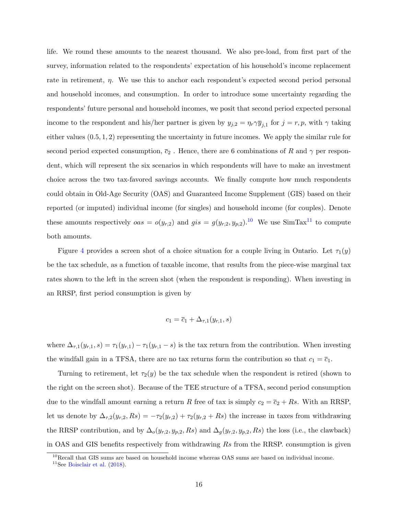life. We round these amounts to the nearest thousand. We also pre-load, from first part of the survey, information related to the respondents' expectation of his household's income replacement rate in retirement,  $\eta$ . We use this to anchor each respondent's expected second period personal and household incomes, and consumption. In order to introduce some uncertainty regarding the respondents' future personal and household incomes, we posit that second period expected personal income to the respondent and his/her partner is given by  $y_{j,2} = \eta_r \gamma \overline{y}_{j,1}$  for  $j = r, p$ , with  $\gamma$  taking either values (0.5, 1, 2) representing the uncertainty in future incomes. We apply the similar rule for second period expected consumption,  $\bar{c}_2$ . Hence, there are 6 combinations of R and  $\gamma$  per respondent, which will represent the six scenarios in which respondents will have to make an investment choice across the two tax-favored savings accounts. We finally compute how much respondents could obtain in Old-Age Security (OAS) and Guaranteed Income Supplement (GIS) based on their reported (or imputed) individual income (for singles) and household income (for couples). Denote these amounts respectively  $\cos = o(y_{r,2})$  and  $\operatorname{gis} = g(y_{r,2}, y_{p,2})$ .<sup>[10](#page-2-0)</sup> We use SimTax<sup>[11](#page-2-0)</sup> to compute both amounts.

Figure [4](#page-32-0) provides a screen shot of a choice situation for a couple living in Ontario. Let  $\tau_1(y)$ be the tax schedule, as a function of taxable income, that results from the piece-wise marginal tax rates shown to the left in the screen shot (when the respondent is responding). When investing in an RRSP, first period consumption is given by

$$
c_1 = \overline{c}_1 + \Delta_{\tau,1}(y_{r,1},s)
$$

where  $\Delta_{\tau,1}(y_{r,1}, s) = \tau_1(y_{r,1}) - \tau_1(y_{r,1} - s)$  is the tax return from the contribution. When investing the windfall gain in a TFSA, there are no tax returns form the contribution so that  $c_1 = \overline{c}_1$ .

Turning to retirement, let  $\tau_2(y)$  be the tax schedule when the respondent is retired (shown to the right on the screen shot). Because of the TEE structure of a TFSA, second period consumption due to the windfall amount earning a return R free of tax is simply  $c_2 = \overline{c}_2 + Rs$ . With an RRSP, let us denote by  $\Delta_{\tau,2}(y_{r,2},Rs) = -\tau_2(y_{r,2}) + \tau_2(y_{r,2} + Rs)$  the increase in taxes from withdrawing the RRSP contribution, and by  $\Delta_o(y_{r,2}, y_{p,2}, Rs)$  and  $\Delta_g(y_{r,2}, y_{p,2}, Rs)$  the loss (i.e., the clawback) in OAS and GIS benefits respectively from withdrawing Rs from the RRSP. consumption is given

 $10$ Recall that GIS sums are based on household income whereas OAS sums are based on individual income.

<sup>&</sup>lt;sup>11</sup>See [Boisclair et al.](#page-27-13)  $(2018)$ .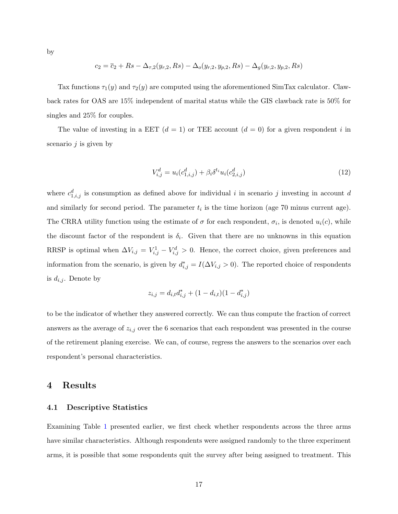$$
c_2 = \overline{c}_2 + Rs - \Delta_{\tau,2}(y_{r,2}, Rs) - \Delta_o(y_{r,2}, y_{p,2}, Rs) - \Delta_g(y_{r,2}, y_{p,2}, Rs)
$$

Tax functions  $\tau_1(y)$  and  $\tau_2(y)$  are computed using the aforementioned SimTax calculator. Clawback rates for OAS are 15% independent of marital status while the GIS clawback rate is 50% for singles and 25% for couples.

The value of investing in a EET  $(d = 1)$  or TEE account  $(d = 0)$  for a given respondent i in scenario  $j$  is given by

<span id="page-18-1"></span>
$$
V_{i,j}^d = u_i(c_{1,i,j}^d) + \beta_i \delta^{t_i} u_i(c_{2,i,j}^d)
$$
\n(12)

where  $c_{1,i,j}^d$  is consumption as defined above for individual i in scenario j investing in account d and similarly for second period. The parameter  $t_i$  is the time horizon (age 70 minus current age). The CRRA utility function using the estimate of  $\sigma$  for each respondent,  $\sigma_i$ , is denoted  $u_i(c)$ , while the discount factor of the respondent is  $\delta_i$ . Given that there are no unknowns in this equation RRSP is optimal when  $\Delta V_{i,j} = V_{i,j}^1 - V_{i,j}^d > 0$ . Hence, the correct choice, given preferences and information from the scenario, is given by  $d_{i,j}^* = I(\Delta V_{i,j} > 0)$ . The reported choice of respondents is  $d_{i,j}$ . Denote by

$$
z_{i,j} = d_{i,t}d_{i,j}^* + (1 - d_{i,t})(1 - d_{i,j}^*)
$$

to be the indicator of whether they answered correctly. We can thus compute the fraction of correct answers as the average of  $z_{i,j}$  over the 6 scenarios that each respondent was presented in the course of the retirement planing exercise. We can, of course, regress the answers to the scenarios over each respondent's personal characteristics.

## <span id="page-18-0"></span>4 Results

#### 4.1 Descriptive Statistics

Examining Table [1](#page-34-0) presented earlier, we first check whether respondents across the three arms have similar characteristics. Although respondents were assigned randomly to the three experiment arms, it is possible that some respondents quit the survey after being assigned to treatment. This

by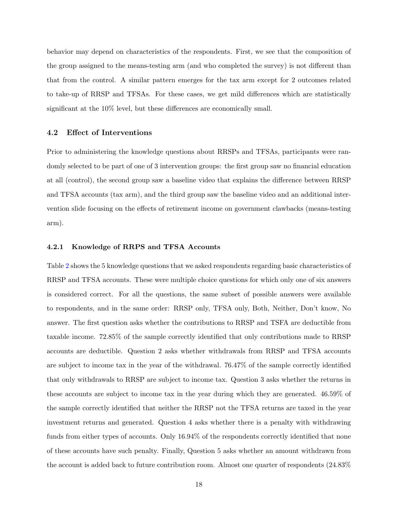behavior may depend on characteristics of the respondents. First, we see that the composition of the group assigned to the means-testing arm (and who completed the survey) is not different than that from the control. A similar pattern emerges for the tax arm except for 2 outcomes related to take-up of RRSP and TFSAs. For these cases, we get mild differences which are statistically significant at the 10% level, but these differences are economically small.

## 4.2 Effect of Interventions

Prior to administering the knowledge questions about RRSPs and TFSAs, participants were randomly selected to be part of one of 3 intervention groups: the first group saw no financial education at all (control), the second group saw a baseline video that explains the difference between RRSP and TFSA accounts (tax arm), and the third group saw the baseline video and an additional intervention slide focusing on the effects of retirement income on government clawbacks (means-testing arm).

#### 4.2.1 Knowledge of RRPS and TFSA Accounts

Table [2](#page-35-0) shows the 5 knowledge questions that we asked respondents regarding basic characteristics of RRSP and TFSA accounts. These were multiple choice questions for which only one of six answers is considered correct. For all the questions, the same subset of possible answers were available to respondents, and in the same order: RRSP only, TFSA only, Both, Neither, Don't know, No answer. The first question asks whether the contributions to RRSP and TSFA are deductible from taxable income. 72.85% of the sample correctly identified that only contributions made to RRSP accounts are deductible. Question 2 asks whether withdrawals from RRSP and TFSA accounts are subject to income tax in the year of the withdrawal. 76.47% of the sample correctly identified that only withdrawals to RRSP are subject to income tax. Question 3 asks whether the returns in these accounts are subject to income tax in the year during which they are generated. 46.59% of the sample correctly identified that neither the RRSP not the TFSA returns are taxed in the year investment returns and generated. Question 4 asks whether there is a penalty with withdrawing funds from either types of accounts. Only 16.94% of the respondents correctly identified that none of these accounts have such penalty. Finally, Question 5 asks whether an amount withdrawn from the account is added back to future contribution room. Almost one quarter of respondents (24.83%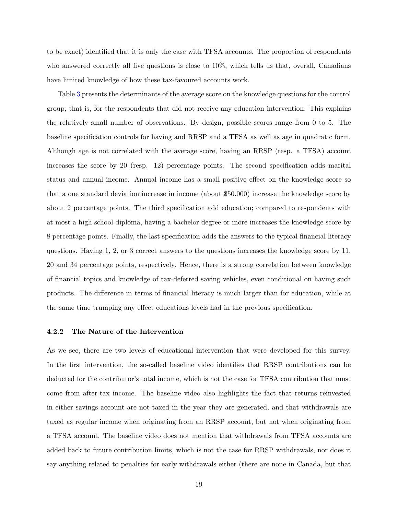to be exact) identified that it is only the case with TFSA accounts. The proportion of respondents who answered correctly all five questions is close to 10%, which tells us that, overall, Canadians have limited knowledge of how these tax-favoured accounts work.

Table [3](#page-36-0) presents the determinants of the average score on the knowledge questions for the control group, that is, for the respondents that did not receive any education intervention. This explains the relatively small number of observations. By design, possible scores range from 0 to 5. The baseline specification controls for having and RRSP and a TFSA as well as age in quadratic form. Although age is not correlated with the average score, having an RRSP (resp. a TFSA) account increases the score by 20 (resp. 12) percentage points. The second specification adds marital status and annual income. Annual income has a small positive effect on the knowledge score so that a one standard deviation increase in income (about \$50,000) increase the knowledge score by about 2 percentage points. The third specification add education; compared to respondents with at most a high school diploma, having a bachelor degree or more increases the knowledge score by 8 percentage points. Finally, the last specification adds the answers to the typical financial literacy questions. Having 1, 2, or 3 correct answers to the questions increases the knowledge score by 11, 20 and 34 percentage points, respectively. Hence, there is a strong correlation between knowledge of financial topics and knowledge of tax-deferred saving vehicles, even conditional on having such products. The difference in terms of financial literacy is much larger than for education, while at the same time trumping any effect educations levels had in the previous specification.

#### 4.2.2 The Nature of the Intervention

As we see, there are two levels of educational intervention that were developed for this survey. In the first intervention, the so-called baseline video identifies that RRSP contributions can be deducted for the contributor's total income, which is not the case for TFSA contribution that must come from after-tax income. The baseline video also highlights the fact that returns reinvested in either savings account are not taxed in the year they are generated, and that withdrawals are taxed as regular income when originating from an RRSP account, but not when originating from a TFSA account. The baseline video does not mention that withdrawals from TFSA accounts are added back to future contribution limits, which is not the case for RRSP withdrawals, nor does it say anything related to penalties for early withdrawals either (there are none in Canada, but that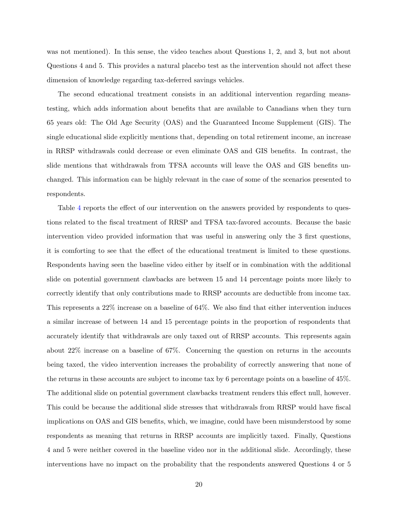was not mentioned). In this sense, the video teaches about Questions 1, 2, and 3, but not about Questions 4 and 5. This provides a natural placebo test as the intervention should not affect these dimension of knowledge regarding tax-deferred savings vehicles.

The second educational treatment consists in an additional intervention regarding meanstesting, which adds information about benefits that are available to Canadians when they turn 65 years old: The Old Age Security (OAS) and the Guaranteed Income Supplement (GIS). The single educational slide explicitly mentions that, depending on total retirement income, an increase in RRSP withdrawals could decrease or even eliminate OAS and GIS benefits. In contrast, the slide mentions that withdrawals from TFSA accounts will leave the OAS and GIS benefits unchanged. This information can be highly relevant in the case of some of the scenarios presented to respondents.

Table [4](#page-37-0) reports the effect of our intervention on the answers provided by respondents to questions related to the fiscal treatment of RRSP and TFSA tax-favored accounts. Because the basic intervention video provided information that was useful in answering only the 3 first questions, it is comforting to see that the effect of the educational treatment is limited to these questions. Respondents having seen the baseline video either by itself or in combination with the additional slide on potential government clawbacks are between 15 and 14 percentage points more likely to correctly identify that only contributions made to RRSP accounts are deductible from income tax. This represents a 22% increase on a baseline of 64%. We also find that either intervention induces a similar increase of between 14 and 15 percentage points in the proportion of respondents that accurately identify that withdrawals are only taxed out of RRSP accounts. This represents again about 22% increase on a baseline of 67%. Concerning the question on returns in the accounts being taxed, the video intervention increases the probability of correctly answering that none of the returns in these accounts are subject to income tax by 6 percentage points on a baseline of 45%. The additional slide on potential government clawbacks treatment renders this effect null, however. This could be because the additional slide stresses that withdrawals from RRSP would have fiscal implications on OAS and GIS benefits, which, we imagine, could have been misunderstood by some respondents as meaning that returns in RRSP accounts are implicitly taxed. Finally, Questions 4 and 5 were neither covered in the baseline video nor in the additional slide. Accordingly, these interventions have no impact on the probability that the respondents answered Questions 4 or 5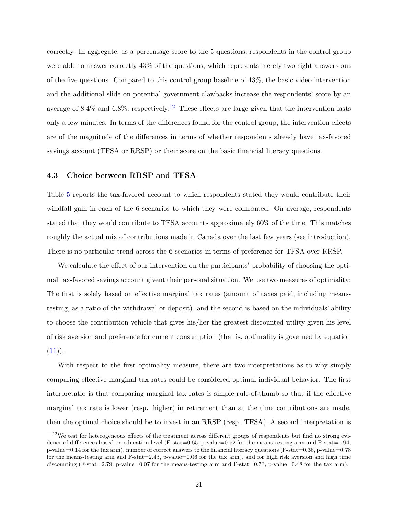correctly. In aggregate, as a percentage score to the 5 questions, respondents in the control group were able to answer correctly 43% of the questions, which represents merely two right answers out of the five questions. Compared to this control-group baseline of 43%, the basic video intervention and the additional slide on potential government clawbacks increase the respondents' score by an average of 8.4% and 6.8%, respectively.<sup>[12](#page-2-0)</sup> These effects are large given that the intervention lasts only a few minutes. In terms of the differences found for the control group, the intervention effects are of the magnitude of the differences in terms of whether respondents already have tax-favored savings account (TFSA or RRSP) or their score on the basic financial literacy questions.

## 4.3 Choice between RRSP and TFSA

Table [5](#page-38-0) reports the tax-favored account to which respondents stated they would contribute their windfall gain in each of the 6 scenarios to which they were confronted. On average, respondents stated that they would contribute to TFSA accounts approximately 60% of the time. This matches roughly the actual mix of contributions made in Canada over the last few years (see introduction). There is no particular trend across the 6 scenarios in terms of preference for TFSA over RRSP.

We calculate the effect of our intervention on the participants' probability of choosing the optimal tax-favored savings account givent their personal situation. We use two measures of optimality: The first is solely based on effective marginal tax rates (amount of taxes paid, including meanstesting, as a ratio of the withdrawal or deposit), and the second is based on the individuals' ability to choose the contribution vehicle that gives his/her the greatest discounted utility given his level of risk aversion and preference for current consumption (that is, optimality is governed by equation  $(11)$ .

With respect to the first optimality measure, there are two interpretations as to why simply comparing effective marginal tax rates could be considered optimal individual behavior. The first interpretatio is that comparing marginal tax rates is simple rule-of-thumb so that if the effective marginal tax rate is lower (resp. higher) in retirement than at the time contributions are made, then the optimal choice should be to invest in an RRSP (resp. TFSA). A second interpretation is

 $12$ We test for heterogeneous effects of the treatment across different groups of respondents but find no strong evidence of differences based on education level (F-stat=0.65, p-value=0.52 for the means-testing arm and F-stat=1.94, p-value=0.14 for the tax arm), number of correct answers to the financial literacy questions (F-stat=0.36, p-value=0.78 for the means-testing arm and F-stat=2.43, p-value=0.06 for the tax arm), and for high risk aversion and high time discounting (F-stat=2.79, p-value=0.07 for the means-testing arm and F-stat=0.73, p-value=0.48 for the tax arm).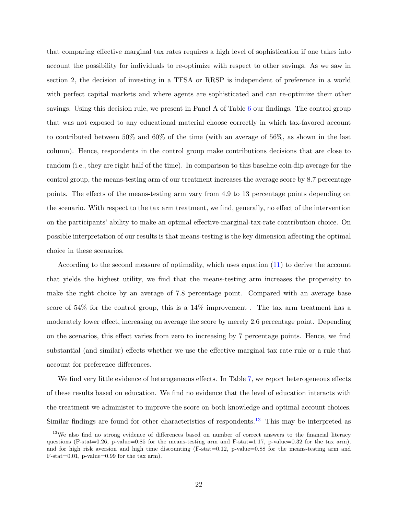that comparing effective marginal tax rates requires a high level of sophistication if one takes into account the possibility for individuals to re-optimize with respect to other savings. As we saw in section 2, the decision of investing in a TFSA or RRSP is independent of preference in a world with perfect capital markets and where agents are sophisticated and can re-optimize their other savings. Using this decision rule, we present in Panel A of Table [6](#page-39-0) our findings. The control group that was not exposed to any educational material choose correctly in which tax-favored account to contributed between 50% and 60% of the time (with an average of 56%, as shown in the last column). Hence, respondents in the control group make contributions decisions that are close to random (i.e., they are right half of the time). In comparison to this baseline coin-flip average for the control group, the means-testing arm of our treatment increases the average score by 8.7 percentage points. The effects of the means-testing arm vary from 4.9 to 13 percentage points depending on the scenario. With respect to the tax arm treatment, we find, generally, no effect of the intervention on the participants' ability to make an optimal effective-marginal-tax-rate contribution choice. On possible interpretation of our results is that means-testing is the key dimension affecting the optimal choice in these scenarios.

According to the second measure of optimality, which uses equation [\(11\)](#page-9-1) to derive the account that yields the highest utility, we find that the means-testing arm increases the propensity to make the right choice by an average of 7.8 percentage point. Compared with an average base score of 54% for the control group, this is a 14% improvement . The tax arm treatment has a moderately lower effect, increasing on average the score by merely 2.6 percentage point. Depending on the scenarios, this effect varies from zero to increasing by 7 percentage points. Hence, we find substantial (and similar) effects whether we use the effective marginal tax rate rule or a rule that account for preference differences.

We find very little evidence of heterogeneous effects. In Table [7,](#page-40-0) we report heterogeneous effects of these results based on education. We find no evidence that the level of education interacts with the treatment we administer to improve the score on both knowledge and optimal account choices. Similar findings are found for other characteristics of respondents.<sup>[13](#page-2-0)</sup> This may be interpreted as

<sup>&</sup>lt;sup>13</sup>We also find no strong evidence of differences based on number of correct answers to the financial literacy questions (F-stat=0.26, p-value=0.85 for the means-testing arm and F-stat=1.17, p-value=0.32 for the tax arm), and for high risk aversion and high time discounting  $(F-stat=0.12, p-value=0.88$  for the means-testing arm and F-stat=0.01, p-value=0.99 for the tax arm).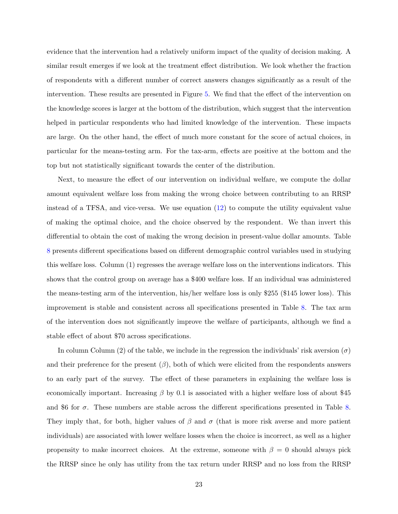evidence that the intervention had a relatively uniform impact of the quality of decision making. A similar result emerges if we look at the treatment effect distribution. We look whether the fraction of respondents with a different number of correct answers changes significantly as a result of the intervention. These results are presented in Figure [5.](#page-33-0) We find that the effect of the intervention on the knowledge scores is larger at the bottom of the distribution, which suggest that the intervention helped in particular respondents who had limited knowledge of the intervention. These impacts are large. On the other hand, the effect of much more constant for the score of actual choices, in particular for the means-testing arm. For the tax-arm, effects are positive at the bottom and the top but not statistically significant towards the center of the distribution.

Next, to measure the effect of our intervention on individual welfare, we compute the dollar amount equivalent welfare loss from making the wrong choice between contributing to an RRSP instead of a TFSA, and vice-versa. We use equation [\(12\)](#page-18-1) to compute the utility equivalent value of making the optimal choice, and the choice observed by the respondent. We than invert this differential to obtain the cost of making the wrong decision in present-value dollar amounts. Table [8](#page-41-0) presents different specifications based on different demographic control variables used in studying this welfare loss. Column (1) regresses the average welfare loss on the interventions indicators. This shows that the control group on average has a \$400 welfare loss. If an individual was administered the means-testing arm of the intervention, his/her welfare loss is only \$255 (\$145 lower loss). This improvement is stable and consistent across all specifications presented in Table [8.](#page-41-0) The tax arm of the intervention does not significantly improve the welfare of participants, although we find a stable effect of about \$70 across specifications.

In column Column (2) of the table, we include in the regression the individuals' risk aversion ( $\sigma$ ) and their preference for the present  $(\beta)$ , both of which were elicited from the respondents answers to an early part of the survey. The effect of these parameters in explaining the welfare loss is economically important. Increasing  $\beta$  by 0.1 is associated with a higher welfare loss of about \$45 and \$6 for  $\sigma$ . These numbers are stable across the different specifications presented in Table [8.](#page-41-0) They imply that, for both, higher values of  $\beta$  and  $\sigma$  (that is more risk averse and more patient individuals) are associated with lower welfare losses when the choice is incorrect, as well as a higher propensity to make incorrect choices. At the extreme, someone with  $\beta = 0$  should always pick the RRSP since he only has utility from the tax return under RRSP and no loss from the RRSP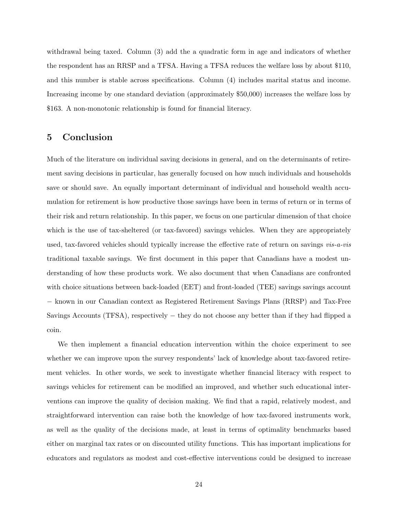withdrawal being taxed. Column (3) add the a quadratic form in age and indicators of whether the respondent has an RRSP and a TFSA. Having a TFSA reduces the welfare loss by about \$110, and this number is stable across specifications. Column (4) includes marital status and income. Increasing income by one standard deviation (approximately \$50,000) increases the welfare loss by \$163. A non-monotonic relationship is found for financial literacy.

## <span id="page-25-0"></span>5 Conclusion

Much of the literature on individual saving decisions in general, and on the determinants of retirement saving decisions in particular, has generally focused on how much individuals and households save or should save. An equally important determinant of individual and household wealth accumulation for retirement is how productive those savings have been in terms of return or in terms of their risk and return relationship. In this paper, we focus on one particular dimension of that choice which is the use of tax-sheltered (or tax-favored) savings vehicles. When they are appropriately used, tax-favored vehicles should typically increase the effective rate of return on savings vis-a-vis traditional taxable savings. We first document in this paper that Canadians have a modest understanding of how these products work. We also document that when Canadians are confronted with choice situations between back-loaded (EET) and front-loaded (TEE) savings savings account − known in our Canadian context as Registered Retirement Savings Plans (RRSP) and Tax-Free Savings Accounts (TFSA), respectively − they do not choose any better than if they had flipped a coin.

We then implement a financial education intervention within the choice experiment to see whether we can improve upon the survey respondents' lack of knowledge about tax-favored retirement vehicles. In other words, we seek to investigate whether financial literacy with respect to savings vehicles for retirement can be modified an improved, and whether such educational interventions can improve the quality of decision making. We find that a rapid, relatively modest, and straightforward intervention can raise both the knowledge of how tax-favored instruments work, as well as the quality of the decisions made, at least in terms of optimality benchmarks based either on marginal tax rates or on discounted utility functions. This has important implications for educators and regulators as modest and cost-effective interventions could be designed to increase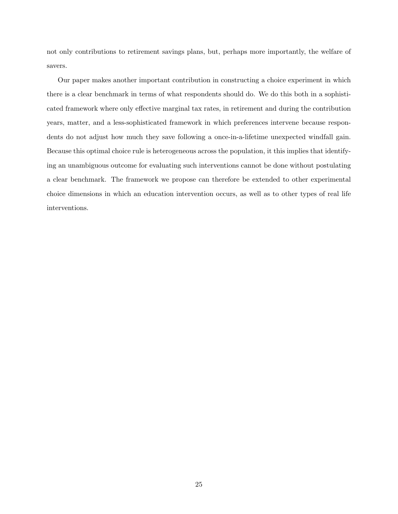not only contributions to retirement savings plans, but, perhaps more importantly, the welfare of savers.

Our paper makes another important contribution in constructing a choice experiment in which there is a clear benchmark in terms of what respondents should do. We do this both in a sophisticated framework where only effective marginal tax rates, in retirement and during the contribution years, matter, and a less-sophisticated framework in which preferences intervene because respondents do not adjust how much they save following a once-in-a-lifetime unexpected windfall gain. Because this optimal choice rule is heterogeneous across the population, it this implies that identifying an unambiguous outcome for evaluating such interventions cannot be done without postulating a clear benchmark. The framework we propose can therefore be extended to other experimental choice dimensions in which an education intervention occurs, as well as to other types of real life interventions.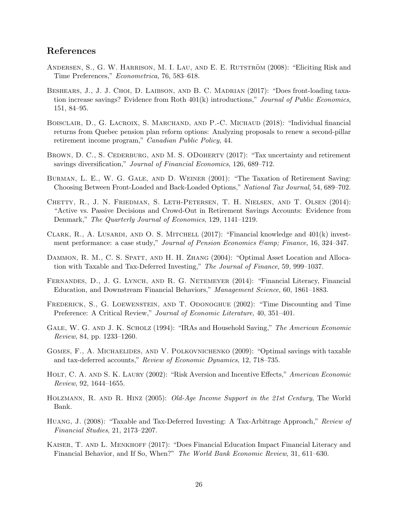## References

- <span id="page-27-1"></span>ANDERSEN, S., G. W. HARRISON, M. I. LAU, AND E. E. RUTSTRÖM (2008): "Eliciting Risk and Time Preferences," Econometrica, 76, 583–618.
- <span id="page-27-5"></span>BESHEARS, J., J. J. CHOI, D. LAIBSON, AND B. C. MADRIAN (2017): "Does front-loading taxation increase savings? Evidence from Roth 401(k) introductions," Journal of Public Economics, 151, 84–95.
- <span id="page-27-13"></span>BOISCLAIR, D., G. LACROIX, S. MARCHAND, AND P.-C. MICHAUD (2018): "Individual financial returns from Quebec pension plan reform options: Analyzing proposals to renew a second-pillar retirement income program," Canadian Public Policy, 44.
- <span id="page-27-9"></span>BROWN, D. C., S. CEDERBURG, AND M. S. ODOHERTY (2017): "Tax uncertainty and retirement savings diversification," Journal of Financial Economics, 126, 689–712.
- <span id="page-27-3"></span>Burman, L. E., W. G. Gale, and D. Weiner (2001): "The Taxation of Retirement Saving: Choosing Between Front-Loaded and Back-Loaded Options," National Tax Journal, 54, 689–702.
- <span id="page-27-0"></span>Chetty, R., J. N. Friedman, S. Leth-Petersen, T. H. Nielsen, and T. Olsen (2014): "Active vs. Passive Decisions and Crowd-Out in Retirement Savings Accounts: Evidence from Denmark," The Quarterly Journal of Economics, 129, 1141–1219.
- <span id="page-27-10"></span>CLARK, R., A. LUSARDI, AND O. S. MITCHELL  $(2017)$ : "Financial knowledge and  $401(k)$  investment performance: a case study," Journal of Pension Economics & amp; Finance, 16, 324–347.
- <span id="page-27-7"></span>DAMMON, R. M., C. S. SPATT, AND H. H. ZHANG (2004): "Optimal Asset Location and Allocation with Taxable and Tax-Deferred Investing," The Journal of Finance, 59, 999–1037.
- <span id="page-27-11"></span>FERNANDES, D., J. G. LYNCH, AND R. G. NETEMEYER (2014): "Financial Literacy, Financial Education, and Downstream Financial Behaviors," Management Science, 60, 1861–1883.
- <span id="page-27-15"></span>FREDERICK, S., G. LOEWENSTEIN, AND T. ODONOGHUE (2002): "Time Discounting and Time Preference: A Critical Review," Journal of Economic Literature, 40, 351–401.
- <span id="page-27-4"></span>GALE, W. G. AND J. K. SCHOLZ (1994): "IRAs and Household Saving," The American Economic Review, 84, pp. 1233–1260.
- <span id="page-27-6"></span>GOMES, F., A. MICHAELIDES, AND V. POLKOVNICHENKO (2009): "Optimal savings with taxable and tax-deferred accounts," Review of Economic Dynamics, 12, 718–735.
- <span id="page-27-14"></span>HOLT, C. A. AND S. K. LAURY (2002): "Risk Aversion and Incentive Effects," American Economic Review, 92, 1644–1655.
- <span id="page-27-2"></span>Holzmann, R. and R. Hinz (2005): Old-Age Income Support in the 21st Century, The World Bank.
- <span id="page-27-8"></span>Huang, J. (2008): "Taxable and Tax-Deferred Investing: A Tax-Arbitrage Approach," Review of Financial Studies, 21, 2173–2207.
- <span id="page-27-12"></span>KAISER, T. AND L. MENKHOFF (2017): "Does Financial Education Impact Financial Literacy and Financial Behavior, and If So, When?" The World Bank Economic Review, 31, 611–630.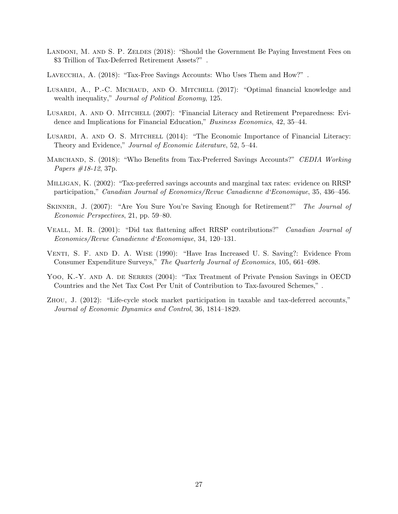- <span id="page-28-2"></span>LANDONI, M. AND S. P. ZELDES (2018): "Should the Government Be Paying Investment Fees on \$3 Trillion of Tax-Deferred Retirement Assets?" .
- <span id="page-28-4"></span>LAVECCHIA, A. (2018): "Tax-Free Savings Accounts: Who Uses Them and How?".
- <span id="page-28-10"></span>LUSARDI, A., P.-C. MICHAUD, AND O. MITCHELL (2017): "Optimal financial knowledge and wealth inequality," Journal of Political Economy, 125.
- <span id="page-28-8"></span>Lusardi, A. and O. Mitchell (2007): "Financial Literacy and Retirement Preparedness: Evidence and Implications for Financial Education," Business Economics, 42, 35–44.
- <span id="page-28-9"></span>LUSARDI, A. AND O. S. MITCHELL (2014): "The Economic Importance of Financial Literacy: Theory and Evidence," Journal of Economic Literature, 52, 5–44.
- <span id="page-28-11"></span>MARCHAND, S. (2018): "Who Benefits from Tax-Preferred Savings Accounts?" CEDIA Working *Papers #18-12, 37p.*
- <span id="page-28-6"></span>Milligan, K. (2002): "Tax-preferred savings accounts and marginal tax rates: evidence on RRSP participation," Canadian Journal of Economics/Revue Canadienne d'Economique, 35, 436–456.
- <span id="page-28-0"></span>SKINNER, J. (2007): "Are You Sure You're Saving Enough for Retirement?" The Journal of Economic Perspectives, 21, pp. 59–80.
- <span id="page-28-7"></span>Veall, M. R. (2001): "Did tax flattening affect RRSP contributions?" Canadian Journal of Economics/Revue Canadienne d'Economique, 34, 120–131.
- <span id="page-28-3"></span>Venti, S. F. and D. A. Wise (1990): "Have Iras Increased U. S. Saving?: Evidence From Consumer Expenditure Surveys," The Quarterly Journal of Economics, 105, 661–698.
- <span id="page-28-1"></span>YOO, K.-Y. AND A. DE SERRES (2004): "Tax Treatment of Private Pension Savings in OECD Countries and the Net Tax Cost Per Unit of Contribution to Tax-favoured Schemes," .
- <span id="page-28-5"></span>Zhou, J. (2012): "Life-cycle stock market participation in taxable and tax-deferred accounts," Journal of Economic Dynamics and Control, 36, 1814–1829.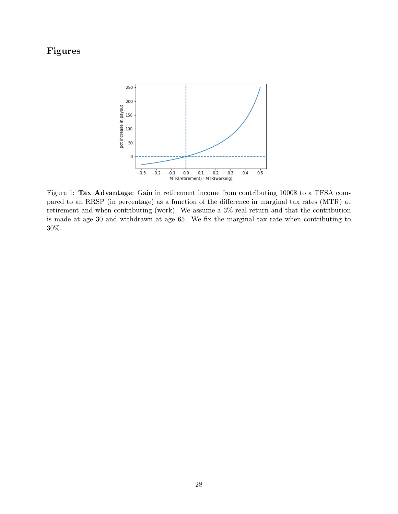# <span id="page-29-0"></span>Figures



Figure 1: Tax Advantage: Gain in retirement income from contributing 1000\$ to a TFSA compared to an RRSP (in percentage) as a function of the difference in marginal tax rates (MTR) at retirement and when contributing (work). We assume a 3% real return and that the contribution is made at age 30 and withdrawn at age 65. We fix the marginal tax rate when contributing to 30%.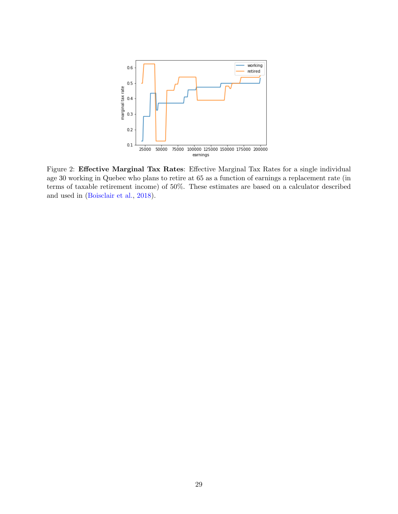<span id="page-30-0"></span>

Figure 2: Effective Marginal Tax Rates: Effective Marginal Tax Rates for a single individual age 30 working in Quebec who plans to retire at 65 as a function of earnings a replacement rate (in terms of taxable retirement income) of 50%. These estimates are based on a calculator described and used in [\(Boisclair et al.,](#page-27-13) [2018\)](#page-27-13).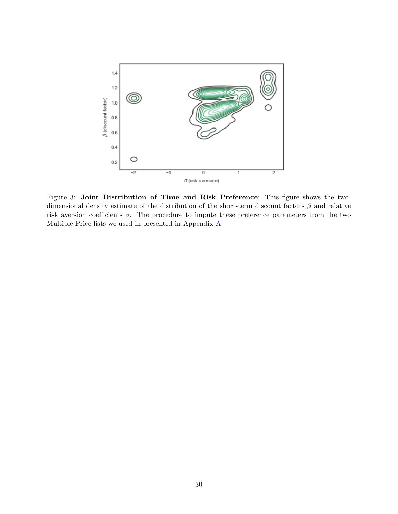<span id="page-31-0"></span>

Figure 3: Joint Distribution of Time and Risk Preference: This figure shows the twodimensional density estimate of the distribution of the short-term discount factors  $\beta$  and relative risk aversion coefficients  $\sigma$ . The procedure to impute these preference parameters from the two Multiple Price lists we used in presented in Appendix [A.](#page-42-0)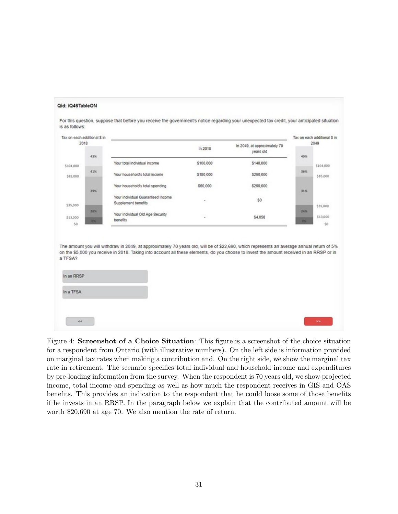<span id="page-32-0"></span>

Figure 4: Screenshot of a Choice Situation: This figure is a screenshot of the choice situation for a respondent from Ontario (with illustrative numbers). On the left side is information provided on marginal tax rates when making a contribution and. On the right side, we show the marginal tax rate in retirement. The scenario specifies total individual and household income and expenditures by pre-loading information from the survey. When the respondent is 70 years old, we show projected income, total income and spending as well as how much the respondent receives in GIS and OAS benefits. This provides an indication to the respondent that he could loose some of those benefits if he invests in an RRSP. In the paragraph below we explain that the contributed amount will be worth \$20,690 at age 70. We also mention the rate of return.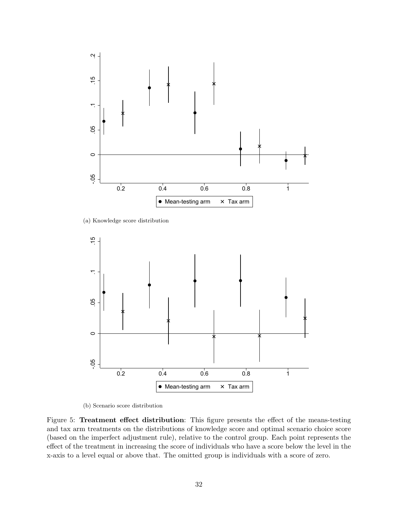<span id="page-33-0"></span>

(a) Knowledge score distribution



(b) Scenario score distribution

Figure 5: Treatment effect distribution: This figure presents the effect of the means-testing and tax arm treatments on the distributions of knowledge score and optimal scenario choice score (based on the imperfect adjustment rule), relative to the control group. Each point represents the effect of the treatment in increasing the score of individuals who have a score below the level in the x-axis to a level equal or above that. The omitted group is individuals with a score of zero.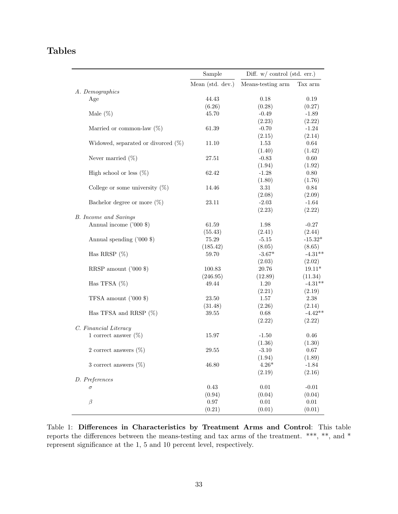# <span id="page-34-0"></span>Tables

|                                       | Sample           | Diff. $w/$ control (std. err.) |           |
|---------------------------------------|------------------|--------------------------------|-----------|
|                                       | Mean (std. dev.) | Means-testing arm              | Tax arm   |
| A. Demographics                       |                  |                                |           |
| Age                                   | 44.43            | 0.18                           | 0.19      |
|                                       | (6.26)           | (0.28)                         | (0.27)    |
| Male $(\%)$                           | 45.70            | $-0.49$                        | $-1.89$   |
|                                       |                  | (2.23)                         | (2.22)    |
| Married or common-law $(\%)$          | 61.39            | $-0.70$                        | $-1.24$   |
|                                       |                  | (2.15)                         | (2.14)    |
| Widowed, separated or divorced $(\%)$ | 11.10            | 1.53                           | 0.64      |
|                                       |                  | (1.40)                         | (1.42)    |
| Never married $(\%)$                  | 27.51            | $-0.83$                        | 0.60      |
|                                       |                  | (1.94)                         | (1.92)    |
| High school or less $(\%)$            | 62.42            | $-1.28$                        | 0.80      |
|                                       |                  | (1.80)                         | (1.76)    |
| College or some university $(\%)$     | 14.46            | 3.31                           | 0.84      |
|                                       |                  | (2.08)                         | (2.09)    |
| Bachelor degree or more $(\%)$        | 23.11            | $-2.03$                        | $-1.64$   |
|                                       |                  | (2.23)                         | (2.22)    |
| <b>B.</b> Income and Savings          |                  |                                |           |
| Annual income ('000 \$)               | 61.59            | 1.98                           | $-0.27$   |
|                                       | (55.43)          | (2.41)                         | (2.44)    |
| Annual spending ('000 \$)             | 75.29            | $-5.15$                        | $-15.32*$ |
|                                       | (185.42)         | (8.05)                         | (8.65)    |
| Has RRSP $(\%)$                       | 59.70            | $-3.67*$                       | $-4.31**$ |
|                                       |                  | (2.03)                         | (2.02)    |
| RRSP amount $('000 \text{ $})$        | 100.83           | 20.76                          | $19.11*$  |
|                                       | (246.95)         | (12.89)                        | (11.34)   |
| Has TFSA $(\%)$                       | 49.44            | 1.20                           | $-4.31**$ |
|                                       |                  | (2.21)                         | (2.19)    |
| TFSA amount $('000 \text{ $$})$       | 23.50            | 1.57                           | 2.38      |
|                                       | (31.48)          | (2.26)                         | (2.14)    |
| Has TFSA and RRSP $(\%)$              | 39.55            | 0.68                           | $-4.42**$ |
|                                       |                  | (2.22)                         | (2.22)    |
| C. Financial Literacy                 |                  |                                |           |
| 1 correct answer $(\%)$               | 15.97            | $-1.50$                        | 0.46      |
|                                       |                  | (1.36)                         | (1.30)    |
| 2 correct answers $(\%)$              | 29.55            | $-3.10$                        | 0.67      |
|                                       |                  | (1.94)                         | (1.89)    |
| 3 correct answers $(\%)$              | 46.80            | $4.26*$                        | $-1.84$   |
|                                       |                  | (2.19)                         | (2.16)    |
| D. Preferences                        |                  |                                |           |
| $\sigma$                              | 0.43             | 0.01                           | $-0.01$   |
|                                       | (0.94)           | (0.04)                         | (0.04)    |
| $\beta$                               | 0.97             | $0.01\,$                       | 0.01      |
|                                       | (0.21)           | (0.01)                         | (0.01)    |

Table 1: Differences in Characteristics by Treatment Arms and Control: This table reports the differences between the means-testing and tax arms of the treatment. \*\*\*, \*\*, and \* represent significance at the 1, 5 and 10 percent level, respectively.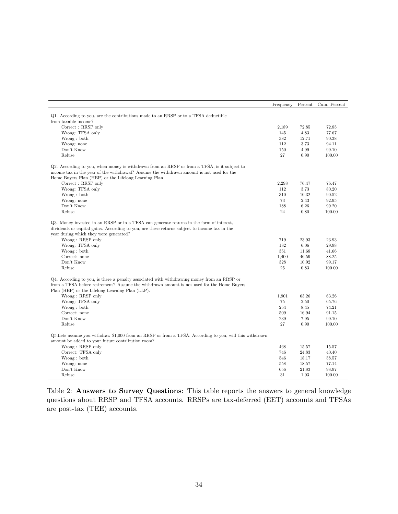<span id="page-35-0"></span>

|                                                                                                         | Frequency | Percent | Cum. Percent |
|---------------------------------------------------------------------------------------------------------|-----------|---------|--------------|
| Q1. According to you, are the contributions made to an RRSP or to a TFSA deductible                     |           |         |              |
| from taxable income?                                                                                    |           |         |              |
| Correct: RRSP only                                                                                      | 2,189     | 72.85   | 72.85        |
| Wrong: TFSA only                                                                                        | 145       | 4.83    | 77.67        |
| Wrong: both                                                                                             | 382       | 12.71   | 90.38        |
| Wrong: none                                                                                             | 112       | 3.73    | 94.11        |
| Don't Know                                                                                              | 150       | 4.99    | 99.10        |
| Refuse                                                                                                  | 27        | 0.90    | 100.00       |
| Q2. According to you, when money is withdrawn from an RRSP or from a TFSA, is it subject to             |           |         |              |
| income tax in the year of the withdrawal? Assume the withdrawn amount is not used for the               |           |         |              |
| Home Buyers Plan (HBP) or the Lifelong Learning Plan                                                    |           |         |              |
| Correct: RRSP only                                                                                      | 2,298     | 76.47   | 76.47        |
| Wrong: TFSA only                                                                                        | 112       | 3.73    | 80.20        |
| Wrong: both                                                                                             | 310       | 10.32   | 90.52        |
| Wrong: none                                                                                             | 73        | 2.43    | 92.95        |
| Don't Know                                                                                              | 188       | 6.26    | 99.20        |
| Refuse                                                                                                  | 24        | 0.80    | 100.00       |
| Q3. Money invested in an RRSP or in a TFSA can generate returns in the form of interest,                |           |         |              |
| dividends or capital gains. According to you, are these returns subject to income tax in the            |           |         |              |
| year during which they were generated?                                                                  |           |         |              |
| Wrong: RRSP only                                                                                        | 719       | 23.93   | 23.93        |
| Wrong: TFSA only                                                                                        | 182       | 6.06    | 29.98        |
| Wrong: both                                                                                             | 351       | 11.68   | 41.66        |
| Correct: none                                                                                           | 1,400     | 46.59   | 88.25        |
| Don't Know                                                                                              | 328       | 10.92   | 99.17        |
| Refuse                                                                                                  | 25        | 0.83    | 100.00       |
| Q4. According to you, is there a penalty associated with withdrawing money from an RRSP or              |           |         |              |
| from a TFSA before retirement? Assume the withdrawn amount is not used for the Home Buyers              |           |         |              |
| Plan (HBP) or the Lifelong Learning Plan (LLP).                                                         |           |         |              |
| Wrong: RRSP only                                                                                        | 1,901     | 63.26   | 63.26        |
| Wrong: TFSA only                                                                                        | 75        | 2.50    | 65.76        |
| Wrong: both                                                                                             | 254       | 8.45    | 74.21        |
| Correct: none                                                                                           | 509       | 16.94   | 91.15        |
| Don't Know                                                                                              | 239       | 7.95    | 99.10        |
| Refuse                                                                                                  | 27        | 0.90    | 100.00       |
| Q5. Lets assume you withdraw \$1,000 from an RRSP or from a TFSA. According to you, will this withdrawn |           |         |              |
| amount be added to your future contribution room?                                                       |           |         |              |
| Wrong: RRSP only                                                                                        | 468       | 15.57   | 15.57        |
| Correct: TFSA only                                                                                      | 746       | 24.83   | 40.40        |
| Wrong: both                                                                                             | 546       | 18.17   | 58.57        |
| Wrong: none                                                                                             | 558       | 18.57   | 77.14        |
| Don't Know                                                                                              | 656       | 21.83   | 98.97        |
| Refuse                                                                                                  | 31        | 1.03    | 100.00       |

Table 2: Answers to Survey Questions: This table reports the answers to general knowledge questions about RRSP and TFSA accounts. RRSPs are tax-deferred (EET) accounts and TFSAs are post-tax (TEE) accounts.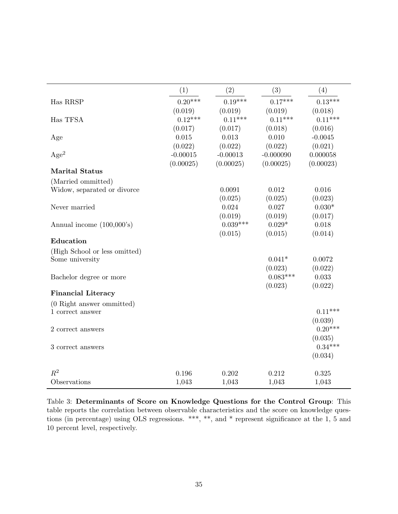|                                               | (1)        | (2)              | (3)              | (4)                 |
|-----------------------------------------------|------------|------------------|------------------|---------------------|
| Has RRSP                                      | $0.20***$  | $0.19***$        | $0.17***$        | $0.13***$           |
|                                               | (0.019)    | (0.019)          | (0.019)          | (0.018)             |
| Has TFSA                                      | $0.12***$  | $0.11***$        | $0.11***$        | $0.11***$           |
|                                               | (0.017)    | (0.017)          | (0.018)          | (0.016)             |
| Age                                           | 0.015      | 0.013            | 0.010            | $-0.0045$           |
|                                               | (0.022)    | (0.022)          | (0.022)          | (0.021)             |
| Age <sup>2</sup>                              | $-0.00015$ | $-0.00013$       | $-0.000090$      | 0.000058            |
|                                               | (0.00025)  | (0.00025)        | (0.00025)        | (0.00023)           |
| <b>Marital Status</b>                         |            |                  |                  |                     |
| (Married ommitted)                            |            |                  |                  |                     |
| Widow, separated or divorce                   |            | 0.0091           | 0.012            | 0.016               |
| Never married                                 |            | (0.025)<br>0.024 | (0.025)<br>0.027 | (0.023)<br>$0.030*$ |
|                                               |            | (0.019)          | (0.019)          | (0.017)             |
| Annual income $(100,000)$ 's)                 |            | $0.039***$       | $0.029*$         | 0.018               |
|                                               |            | (0.015)          | (0.015)          | (0.014)             |
| Education                                     |            |                  |                  |                     |
| (High School or less omitted)                 |            |                  |                  |                     |
| Some university                               |            |                  | $0.041*$         | 0.0072              |
|                                               |            |                  | (0.023)          | (0.022)             |
| Bachelor degree or more                       |            |                  | $0.083***$       | 0.033               |
|                                               |            |                  | (0.023)          | (0.022)             |
| <b>Financial Literacy</b>                     |            |                  |                  |                     |
| (0 Right answer ommitted)<br>1 correct answer |            |                  |                  | $0.11***$           |
|                                               |            |                  |                  | (0.039)             |
| 2 correct answers                             |            |                  |                  | $0.20***$           |
|                                               |            |                  |                  | (0.035)             |
| 3 correct answers                             |            |                  |                  | $0.34***$           |
|                                               |            |                  |                  | (0.034)             |
| $R^2$                                         | 0.196      | 0.202            | 0.212            | 0.325               |
| Observations                                  | 1,043      | 1,043            | 1,043            | 1,043               |
|                                               |            |                  |                  |                     |

Table 3: Determinants of Score on Knowledge Questions for the Control Group: This table reports the correlation between observable characteristics and the score on knowledge questions (in percentage) using OLS regressions. \*\*\*, \*\*, and \* represent significance at the 1, 5 and 10 percent level, respectively.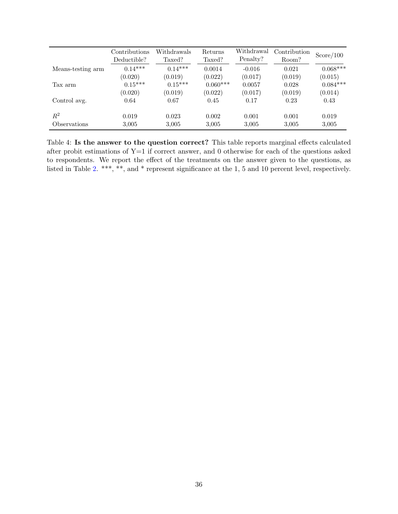|                            | Contributions<br>Deductible? | Withdrawals<br>Taxed? | Returns<br>Taxed? | Withdrawal<br>Penalty? | Contribution<br>Room? | Score/100  |
|----------------------------|------------------------------|-----------------------|-------------------|------------------------|-----------------------|------------|
| Means-testing arm          | $0.14***$                    | $0.14***$             | 0.0014            | $-0.016$               | 0.021                 | $0.068***$ |
|                            | (0.020)                      | (0.019)               | (0.022)           | (0.017)                | (0.019)               | (0.015)    |
| Tax arm                    | $0.15***$                    | $0.15***$             | $0.060***$        | 0.0057                 | 0.028                 | $0.084***$ |
| Control avg.               | (0.020)                      | (0.019)               | (0.022)           | (0.017)                | (0.019)               | (0.014)    |
|                            | 0.64                         | 0.67                  | 0.45              | 0.17                   | 0.23                  | 0.43       |
| $R^2$                      | 0.019                        | 0.023                 | 0.002             | 0.001                  | 0.001                 | 0.019      |
| <i><b>Observations</b></i> | 3.005                        | 3,005                 | 3,005             | 3,005                  | 3.005                 | 3,005      |

Table 4: Is the answer to the question correct? This table reports marginal effects calculated after probit estimations of Y=1 if correct answer, and 0 otherwise for each of the questions asked to respondents. We report the effect of the treatments on the answer given to the questions, as listed in Table [2.](#page-35-0) \*\*\*, \*\*, and \* represent significance at the 1, 5 and 10 percent level, respectively.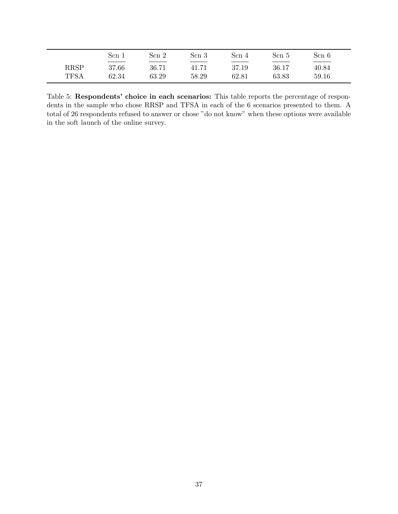|                            | Scn 1                                                    | Scn 2          | Scn 3          | Scn 4          | Scn 5          | Scn 6          |  |
|----------------------------|----------------------------------------------------------|----------------|----------------|----------------|----------------|----------------|--|
| <b>RRSP</b><br><b>TFSA</b> | the control of the control of the con-<br>37.66<br>62.34 | 36.71<br>63.29 | 41.71<br>58.29 | 37.19<br>62.81 | 36.17<br>63.83 | 40.84<br>59.16 |  |

Table 5: Respondents' choice in each scenarios: This table reports the percentage of respondents in the sample who chose RRSP and TFSA in each of the 6 scenarios presented to them. A total of 26 respondents refused to answer or chose "do not know" when these options were available in the soft launch of the online survey.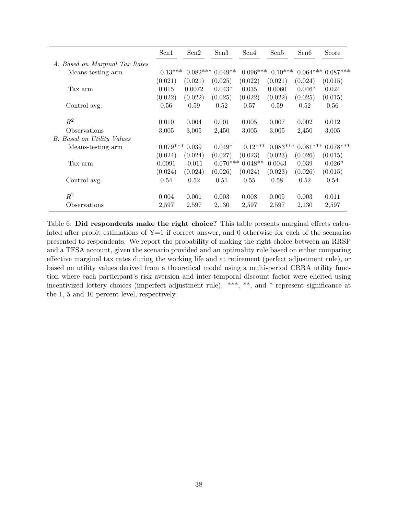|                                   | Scn1       | Scn2       | Scn <sub>3</sub> | Scn4       | Scn5       | Scn6       | Score      |
|-----------------------------------|------------|------------|------------------|------------|------------|------------|------------|
| A. Based on Marginal Tax Rates    |            |            |                  |            |            |            |            |
| Means-testing arm                 | $0.13***$  | $0.082***$ | $0.049**$        | $0.096***$ | $0.10***$  | $0.064***$ | $0.087***$ |
|                                   | (0.021)    | (0.021)    | (0.025)          | (0.022)    | (0.021)    | (0.024)    | (0.015)    |
| Tax arm                           | 0.015      | 0.0072     | $0.043*$         | 0.035      | 0.0060     | $0.046*$   | 0.024      |
|                                   | (0.022)    | (0.022)    | (0.025)          | (0.022)    | (0.022)    | (0.025)    | (0.015)    |
| Control avg.                      | 0.56       | 0.59       | 0.52             | 0.57       | 0.59       | 0.52       | 0.56       |
|                                   |            |            |                  |            |            |            |            |
| $R^2$                             | 0.010      | 0.004      | 0.001            | 0.005      | 0.007      | 0.002      | 0.012      |
| Observations                      | 3,005      | 3,005      | 2,450            | 3,005      | 3,005      | 2,450      | 3,005      |
| <b>B.</b> Based on Utility Values |            |            |                  |            |            |            |            |
| Means-testing arm                 | $0.079***$ | 0.039      | $0.049*$         | $0.12***$  | $0.083***$ | $0.081***$ | $0.078***$ |
|                                   | (0.024)    | (0.024)    | (0.027)          | (0.023)    | (0.023)    | (0.026)    | (0.015)    |
| Tax arm                           | 0.0091     | $-0.011$   | $0.070***$       | $0.048**$  | 0.0043     | 0.039      | $0.026*$   |
|                                   | (0.024)    | (0.024)    | (0.026)          | (0.024)    | (0.023)    | (0.026)    | (0.015)    |
| Control avg.                      | 0.54       | 0.52       | 0.51             | 0.55       | 0.58       | 0.52       | 0.54       |
|                                   |            |            |                  |            |            |            |            |
| $\mathbb{R}^2$                    | 0.004      | 0.001      | 0.003            | 0.008      | 0.005      | 0.003      | 0.011      |
| Observations                      | 2,597      | 2,597      | 2,130            | 2,597      | 2,597      | 2,130      | 2,597      |

Table 6: Did respondents make the right choice? This table presents marginal effects calculated after probit estimations of  $Y=1$  if correct answer, and 0 otherwise for each of the scenarios presented to respondents. We report the probability of making the right choice between an RRSP and a TFSA account, given the scenario provided and an optimality rule based on either comparing effective marginal tax rates during the working life and at retirement (perfect adjustment rule), or based on utility values derived from a theoretical model using a multi-period CRRA utility function where each participant's risk aversion and inter-temporal discount factor were elicited using incentivized lottery choices (imperfect adjustment rule). \*\*\*, \*\*, and \* represent significance at the 1, 5 and 10 percent level, respectively.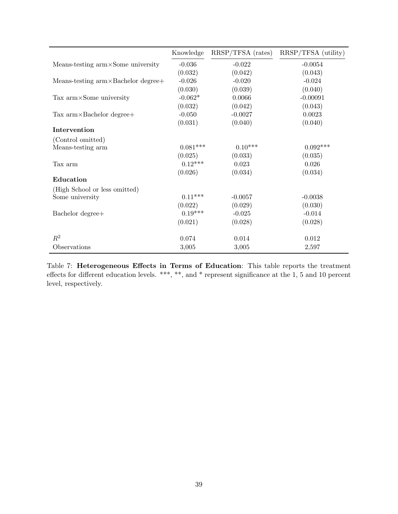|                                             | Knowledge  | $RRSP/TFSA$ (rates) | RRSP/TFSA (utility) |
|---------------------------------------------|------------|---------------------|---------------------|
| Means-testing $arm \times Some$ university  | $-0.036$   | $-0.022$            | $-0.0054$           |
|                                             | (0.032)    | (0.042)             | (0.043)             |
| Means-testing $arm \times Bachelor degree+$ | $-0.026$   | $-0.020$            | $-0.024$            |
|                                             | (0.030)    | (0.039)             | (0.040)             |
| Tax $arm \times Some$ university            | $-0.062*$  | 0.0066              | $-0.00091$          |
|                                             | (0.032)    | (0.042)             | (0.043)             |
| Tax $arm \times Bachelor degree+$           | $-0.050$   | $-0.0027$           | 0.0023              |
|                                             | (0.031)    | (0.040)             | (0.040)             |
| Intervention                                |            |                     |                     |
| (Control omitted)                           |            |                     |                     |
| Means-testing arm                           | $0.081***$ | $0.10***$           | $0.092***$          |
|                                             | (0.025)    | (0.033)             | (0.035)             |
| Tax arm                                     | $0.12***$  | 0.023               | 0.026               |
|                                             | (0.026)    | (0.034)             | (0.034)             |
| Education                                   |            |                     |                     |
| (High School or less omitted)               |            |                     |                     |
| Some university                             | $0.11***$  | $-0.0057$           | $-0.0038$           |
|                                             | (0.022)    | (0.029)             | (0.030)             |
| Bachelor degree+                            | $0.19***$  | $-0.025$            | $-0.014$            |
|                                             | (0.021)    | (0.028)             | (0.028)             |
| $R^2$                                       | 0.074      | 0.014               | 0.012               |
| Observations                                | 3,005      | 3,005               | 2,597               |

Table 7: Heterogeneous Effects in Terms of Education: This table reports the treatment effects for different education levels. \*\*\*, \*\*, and \* represent significance at the 1, 5 and 10 percent level, respectively.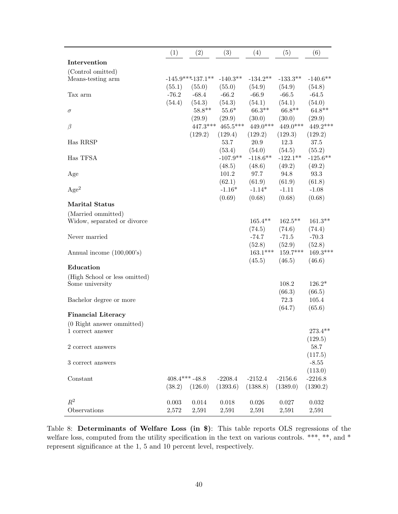|                               | (1)     | (2)                 | (3)        | (4)        | (5)        | (6)         |
|-------------------------------|---------|---------------------|------------|------------|------------|-------------|
| Intervention                  |         |                     |            |            |            |             |
| (Control omitted)             |         |                     |            |            |            |             |
| Means-testing arm             |         | $-145.9***137.1***$ | $-140.3**$ | $-134.2**$ | $-133.3**$ | $-140.6**$  |
|                               | (55.1)  | (55.0)              | (55.0)     | (54.9)     | (54.9)     | (54.8)      |
| Tax arm                       | $-76.2$ | $-68.4$             | $-66.2$    | $-66.9$    | $-66.5$    | $-64.5$     |
|                               | (54.4)  | (54.3)              | (54.3)     | (54.1)     | (54.1)     | (54.0)      |
| $\sigma$                      |         | $58.8**$            | $55.6*$    | $66.3**$   | $66.8**$   | $64.8**$    |
|                               |         | (29.9)              | (29.9)     | (30.0)     | (30.0)     | (29.9)      |
| $\beta$                       |         | $447.3***$          | $465.5***$ | $449.0***$ | $449.0***$ | 449.2***    |
|                               |         | (129.2)             | (129.4)    | (129.2)    | (129.3)    | (129.2)     |
| Has RRSP                      |         |                     | 53.7       | 20.9       | 12.3       | 37.5        |
|                               |         |                     | (53.4)     | (54.0)     | (54.5)     | (55.2)      |
| Has TFSA                      |         |                     | $-107.9**$ | $-118.6**$ | $-122.1**$ | $-125.6***$ |
|                               |         |                     | (48.5)     | (48.6)     | (49.2)     | (49.2)      |
| Age                           |         |                     | 101.2      | 97.7       | 94.8       | 93.3        |
|                               |         |                     | (62.1)     | (61.9)     | (61.9)     | (61.8)      |
| Age <sup>2</sup>              |         |                     | $-1.16*$   | $-1.14*$   | $-1.11$    | $-1.08$     |
|                               |         |                     | (0.69)     | (0.68)     | (0.68)     | (0.68)      |
| <b>Marital Status</b>         |         |                     |            |            |            |             |
| (Married ommitted)            |         |                     |            |            |            |             |
| Widow, separated or divorce   |         |                     |            | $165.4**$  | $162.5***$ | $161.3**$   |
|                               |         |                     |            | (74.5)     | (74.6)     | (74.4)      |
| Never married                 |         |                     |            | $-74.7$    | $-71.5$    | $-70.3$     |
|                               |         |                     |            | (52.8)     | (52.9)     | (52.8)      |
| Annual income $(100,000)$ 's) |         |                     |            | $163.1***$ | 159.7***   | $169.3***$  |
|                               |         |                     |            | (45.5)     | (46.5)     | (46.6)      |
| Education                     |         |                     |            |            |            |             |
| (High School or less omitted) |         |                     |            |            |            |             |
| Some university               |         |                     |            |            | 108.2      | $126.2*$    |
|                               |         |                     |            |            | (66.3)     | (66.5)      |
| Bachelor degree or more       |         |                     |            |            | 72.3       | 105.4       |
|                               |         |                     |            |            | (64.7)     | (65.6)      |
| <b>Financial Literacy</b>     |         |                     |            |            |            |             |
| (0 Right answer ommitted)     |         |                     |            |            |            |             |
| 1 correct answer              |         |                     |            |            |            | 273.4**     |
|                               |         |                     |            |            |            | (129.5)     |
| 2 correct answers             |         |                     |            |            |            | 58.7        |
|                               |         |                     |            |            |            | (117.5)     |
| 3 correct answers             |         |                     |            |            |            | $-8.55$     |
|                               |         |                     |            |            |            | (113.0)     |
| Constant                      |         | $408.4***-48.8$     | $-2208.4$  | $-2152.4$  | $-2156.6$  | $-2216.8$   |
|                               |         |                     |            | (1388.8)   |            |             |
|                               | (38.2)  | (126.0)             | (1393.6)   |            | (1389.0)   | (1390.2)    |
| $R^2$                         | 0.003   | $0.014\,$           | 0.018      | 0.026      | 0.027      | $\,0.032\,$ |
| Observations                  | 2,572   | $2,\!591$           | 2,591      | 2,591      | 2,591      | 2,591       |
|                               |         |                     |            |            |            |             |

Table 8: Determinants of Welfare Loss (in \$): This table reports OLS regressions of the welfare loss, computed from the utility specification in the text on various controls. \*\*\*, \*\*, and \* represent significance at the 1, 5 and 10 percent level, respectively.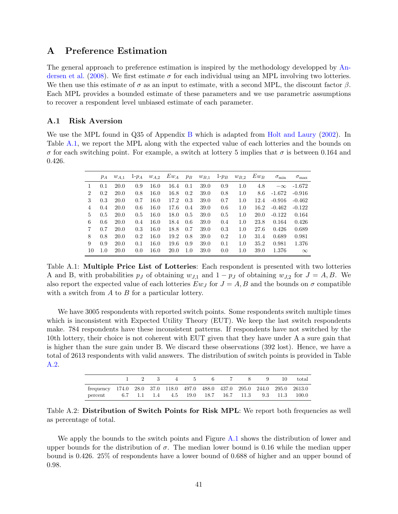### A Preference Estimation

The general approach to preference estimation is inspired by the methodology developped by [An](#page-27-0)[dersen et al.](#page-27-0) [\(2008\)](#page-27-0). We first estimate  $\sigma$  for each individual using an MPL involving two lotteries. We then use this estimate of  $\sigma$  as an input to estimate, with a second MPL, the discount factor  $\beta$ . Each MPL provides a bounded estimate of these parameters and we use parametric assumptions to recover a respondent level unbiased estimate of each parameter.

### A.1 Risk Aversion

<span id="page-42-0"></span>We use the MPL found in Q35 of Appendix [B](#page-46-0) which is adapted from [Holt and Laury](#page-27-1) [\(2002\)](#page-27-1). In Table [A.1,](#page-42-0) we report the MPL along with the expected value of each lotteries and the bounds on σ for each switching point. For example, a switch at lottery 5 implies that σ is between 0.164 and 0.426.

|                | $p_A$ | $w_{A,1}$   | $1-p_A$ | $w_{A,2}$ | $Ew_A$ | $p_B$ | $w_{B,1}$ | $1-p_B$ | $w_{B,2}$ | $Ew_B$ | $\sigma_{\min}$ | $\sigma_{\rm max}$ |
|----------------|-------|-------------|---------|-----------|--------|-------|-----------|---------|-----------|--------|-----------------|--------------------|
|                | 0.1   | 20.0        | 0.9     | 16.0      | 16.4   | 0.1   | 39.0      | 0.9     | 1.0       | 4.8    | $-\infty$       | $-1.672$           |
| $\overline{2}$ | 0.2   | <b>20.0</b> | 0.8     | 16.0      | 16.8   | 0.2   | 39.0      | 0.8     | 1.0       | 8.6    | $-1.672$        | $-0.916$           |
| 3              | 0.3   | <b>20.0</b> | 0.7     | 16.0      | 17.2   | 0.3   | 39.0      | 0.7     | 1.0       | 12.4   | $-0.916$        | $-0.462$           |
| 4              | 0.4   | <b>20.0</b> | 0.6     | 16.0      | 17.6   | 0.4   | 39.0      | 0.6     | 1.0       | 16.2   | $-0.462$        | $-0.122$           |
| 5              | 0.5   | <b>20.0</b> | 0.5     | 16.0      | 18.0   | 0.5   | 39.0      | 0.5     | 1.0       | 20.0   | $-0.122$        | 0.164              |
| 6              | 0.6   | <b>20.0</b> | 0.4     | 16.0      | 18.4   | 0.6   | 39.0      | 0.4     | 1.0       | 23.8   | 0.164           | 0.426              |
| 7              | 0.7   | <b>20.0</b> | 0.3     | 16.0      | 18.8   | 0.7   | 39.0      | 0.3     | 1.0       | 27.6   | 0.426           | 0.689              |
| 8              | 0.8   | <b>20.0</b> | 0.2     | 16.0      | 19.2   | 0.8   | 39.0      | 0.2     | 1.0       | 31.4   | 0.689           | 0.981              |
| 9              | 0.9   | <b>20.0</b> | 0.1     | 16.0      | 19.6   | 0.9   | 39.0      | 0.1     | 1.0       | 35.2   | 0.981           | 1.376              |
| 10             | 1.0   | <b>20.0</b> | 0.0     | 16.0      | 20.0   | 1.0   | 39.0      | 0.0     | 1.0       | 39.0   | 1.376           | $\infty$           |

Table A.1: Multiple Price List of Lotteries: Each respondent is presented with two lotteries A and B, with probabilities  $p_j$  of obtaining  $w_{j,1}$  and  $1 - p_j$  of obtaining  $w_{j,2}$  for  $J = A, B$ . We also report the expected value of each lotteries  $Ew_J$  for  $J = A, B$  and the bounds on  $\sigma$  compatible with a switch from  $A$  to  $B$  for a particular lottery.

We have 3005 respondents with reported switch points. Some respondents switch multiple times which is inconsistent with Expected Utility Theory (EUT). We keep the last switch respondents make. 784 respondents have these inconsistent patterns. If respondents have not switched by the 10th lottery, their choice is not coherent with EUT given that they have under A a sure gain that is higher than the sure gain under B. We discard these observations (392 lost). Hence, we have a total of 2613 respondents with valid answers. The distribution of switch points is provided in Table [A.2.](#page-42-1)

<span id="page-42-1"></span>

|                                                                            |  |  |  |  |  | 1 2 3 4 5 6 7 8 9 10 total |
|----------------------------------------------------------------------------|--|--|--|--|--|----------------------------|
| frequency 174.0 28.0 37.0 118.0 497.0 488.0 437.0 295.0 244.0 295.0 2613.0 |  |  |  |  |  |                            |
| percent 6.7 1.1 1.4 4.5 19.0 18.7 16.7 11.3 9.3 11.3 100.0                 |  |  |  |  |  |                            |

Table A.2: Distribution of Switch Points for Risk MPL: We report both frequencies as well as percentage of total.

We apply the bounds to the switch points and Figure [A.1](#page-43-0) shows the distribution of lower and upper bounds for the distribution of  $\sigma$ . The median lower bound is 0.16 while the median upper bound is 0.426. 25% of respondents have a lower bound of 0.688 of higher and an upper bound of 0.98.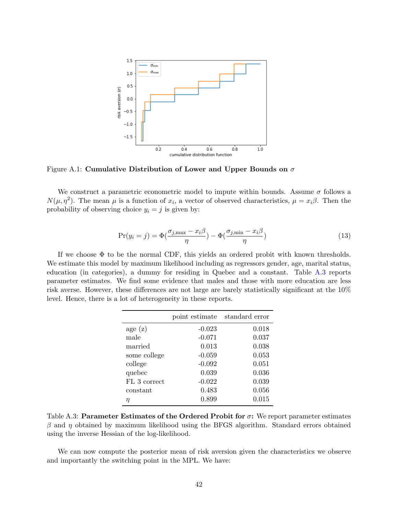<span id="page-43-0"></span>

Figure A.1: Cumulative Distribution of Lower and Upper Bounds on  $\sigma$ 

We construct a parametric econometric model to impute within bounds. Assume  $\sigma$  follows a  $N(\mu, \eta^2)$ . The mean  $\mu$  is a function of  $x_i$ , a vector of observed characteristics,  $\mu = x_i \beta$ . Then the probability of observing choice  $y_i = j$  is given by:

$$
\Pr(y_i = j) = \Phi\left(\frac{\sigma_{j,\max} - x_i \beta}{\eta}\right) - \Phi\left(\frac{\sigma_{j,\min} - x_i \beta}{\eta}\right) \tag{13}
$$

<span id="page-43-1"></span>If we choose  $\Phi$  to be the normal CDF, this yields an ordered probit with known thresholds. We estimate this model by maximum likelihood including as regressors gender, age, marital status, education (in categories), a dummy for residing in Quebec and a constant. Table [A.3](#page-43-1) reports parameter estimates. We find some evidence that males and those with more education are less risk averse. However, these differences are not large are barely statistically significant at the 10% level. Hence, there is a lot of heterogeneity in these reports.

|              | point estimate | standard error |
|--------------|----------------|----------------|
| age(z)       | $-0.023$       | 0.018          |
| male         | $-0.071$       | 0.037          |
| married      | 0.013          | 0.038          |
| some college | $-0.059$       | 0.053          |
| college      | $-0.092$       | 0.051          |
| quebec       | 0.039          | 0.036          |
| FL 3 correct | $-0.022$       | 0.039          |
| constant     | 0.483          | 0.056          |
| η            | 0.899          | 0.015          |

Table A.3: Parameter Estimates of the Ordered Probit for  $\sigma$ : We report parameter estimates  $β$  and  $η$  obtained by maximum likelihood using the BFGS algorithm. Standard errors obtained using the inverse Hessian of the log-likelihood.

We can now compute the posterior mean of risk aversion given the characteristics we observe and importantly the switching point in the MPL. We have: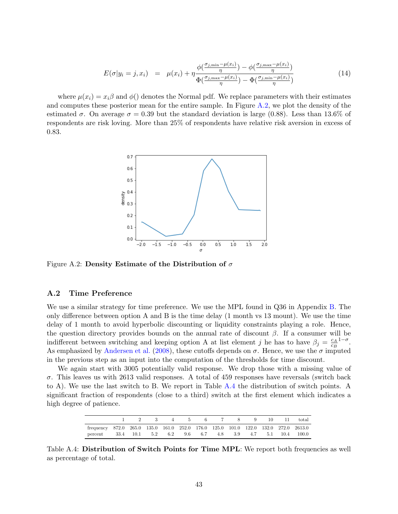$$
E(\sigma|y_i=j,x_i) = \mu(x_i) + \eta \frac{\phi(\frac{\sigma_{j,\min}-\mu(x_i)}{\eta}) - \phi(\frac{\sigma_{j,\max}-\mu(x_i)}{\eta})}{\Phi(\frac{\sigma_{j,\max}-\mu(x_i)}{\eta}) - \Phi(\frac{\sigma_{j,\min}-\mu(x_i)}{\eta})}
$$
(14)

<span id="page-44-0"></span>where  $\mu(x_i) = x_i \beta$  and  $\phi()$  denotes the Normal pdf. We replace parameters with their estimates and computes these posterior mean for the entire sample. In Figure [A.2,](#page-44-0) we plot the density of the estimated  $\sigma$ . On average  $\sigma = 0.39$  but the standard deviation is large (0.88). Less than 13.6% of respondents are risk loving. More than 25% of respondents have relative risk aversion in excess of 0.83.



Figure A.2: Density Estimate of the Distribution of  $\sigma$ 

#### A.2 Time Preference

We use a similar strategy for time preference. We use the MPL found in Q36 in Appendix [B.](#page-46-0) The only difference between option A and B is the time delay (1 month vs 13 mount). We use the time delay of 1 month to avoid hyperbolic discounting or liquidity constraints playing a role. Hence, the question directory provides bounds on the annual rate of discount  $\beta$ . If a consumer will be indifferent between switching and keeping option A at list element j he has to have  $\beta_j = \frac{c_A}{c_B}$  $c_B$  $1-\sigma$ . As emphasized by [Andersen et al.](#page-27-0) [\(2008\)](#page-27-0), these cutoffs depends on  $\sigma$ . Hence, we use the  $\sigma$  imputed in the previous step as an input into the computation of the thresholds for time discount.

We again start with 3005 potentially valid response. We drop those with a missing value of  $\sigma$ . This leaves us with 2613 valid responses. A total of 459 responses have reversals (switch back to A). We use the last switch to B. We report in Table [A.4](#page-44-1) the distribution of switch points. A significant fraction of respondents (close to a third) switch at the first element which indicates a high degree of patience.

|                                                                                    |  | $4 \qquad \qquad$ | $5 -$ |  |  | 6 7 8 9 10 11 total |
|------------------------------------------------------------------------------------|--|-------------------|-------|--|--|---------------------|
| frequency 872.0 265.0 135.0 161.0 252.0 176.0 125.0 101.0 122.0 132.0 272.0 2613.0 |  |                   |       |  |  |                     |
| percent 33.4 10.1 5.2 6.2 9.6 6.7 4.8 3.9 4.7 5.1 10.4 100.0                       |  |                   |       |  |  |                     |

<span id="page-44-1"></span>Table A.4: Distribution of Switch Points for Time MPL: We report both frequencies as well as percentage of total.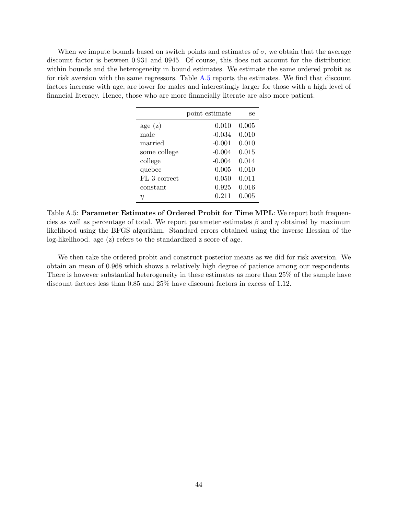<span id="page-45-0"></span>When we impute bounds based on switch points and estimates of  $\sigma$ , we obtain that the average discount factor is between 0.931 and 0945. Of course, this does not account for the distribution within bounds and the heterogeneity in bound estimates. We estimate the same ordered probit as for risk aversion with the same regressors. Table [A.5](#page-45-0) reports the estimates. We find that discount factors increase with age, are lower for males and interestingly larger for those with a high level of financial literacy. Hence, those who are more financially literate are also more patient.

|              | point estimate | se    |
|--------------|----------------|-------|
| age(z)       | 0.010          | 0.005 |
| male         | $-0.034$       | 0.010 |
| married      | $-0.001$       | 0.010 |
| some college | $-0.004$       | 0.015 |
| college      | $-0.004$       | 0.014 |
| quebec       | 0.005          | 0.010 |
| FL 3 correct | 0.050          | 0.011 |
| constant     | 0.925          | 0.016 |
| п            | 0.211          | 0.005 |

Table A.5: Parameter Estimates of Ordered Probit for Time MPL: We report both frequencies as well as percentage of total. We report parameter estimates  $\beta$  and  $\eta$  obtained by maximum likelihood using the BFGS algorithm. Standard errors obtained using the inverse Hessian of the log-likelihood. age (z) refers to the standardized z score of age.

We then take the ordered probit and construct posterior means as we did for risk aversion. We obtain an mean of 0.968 which shows a relatively high degree of patience among our respondents. There is however substantial heterogeneity in these estimates as more than 25% of the sample have discount factors less than 0.85 and 25% have discount factors in excess of 1.12.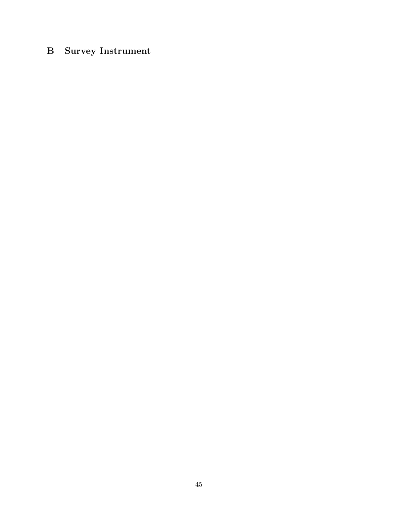# <span id="page-46-0"></span>B Survey Instrument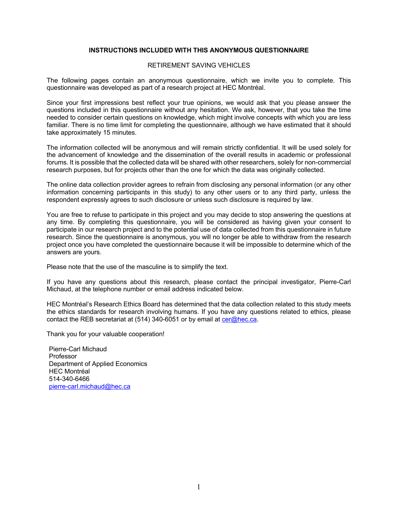#### **INSTRUCTIONS INCLUDED WITH THIS ANONYMOUS QUESTIONNAIRE**

#### RETIREMENT SAVING VEHICLES

The following pages contain an anonymous questionnaire, which we invite you to complete. This questionnaire was developed as part of a research project at HEC Montréal.

Since your first impressions best reflect your true opinions, we would ask that you please answer the questions included in this questionnaire without any hesitation. We ask, however, that you take the time needed to consider certain questions on knowledge, which might involve concepts with which you are less familiar. There is no time limit for completing the questionnaire, although we have estimated that it should take approximately 15 minutes.

The information collected will be anonymous and will remain strictly confidential. It will be used solely for the advancement of knowledge and the dissemination of the overall results in academic or professional forums. It is possible that the collected data will be shared with other researchers, solely for non-commercial research purposes, but for projects other than the one for which the data was originally collected.

The online data collection provider agrees to refrain from disclosing any personal information (or any other information concerning participants in this study) to any other users or to any third party, unless the respondent expressly agrees to such disclosure or unless such disclosure is required by law.

You are free to refuse to participate in this project and you may decide to stop answering the questions at any time. By completing this questionnaire, you will be considered as having given your consent to participate in our research project and to the potential use of data collected from this questionnaire in future research. Since the questionnaire is anonymous, you will no longer be able to withdraw from the research project once you have completed the questionnaire because it will be impossible to determine which of the answers are yours.

Please note that the use of the masculine is to simplify the text.

If you have any questions about this research, please contact the principal investigator, Pierre-Carl Michaud, at the telephone number or email address indicated below.

HEC Montréal's Research Ethics Board has determined that the data collection related to this study meets the ethics standards for research involving humans. If you have any questions related to ethics, please contact the REB secretariat at (514) 340-6051 or by email at cer@hec.ca.

Thank you for your valuable cooperation!

Pierre-Carl Michaud Professor Department of Applied Economics HEC Montréal 514-340-6466 pierre-carl.michaud@hec.ca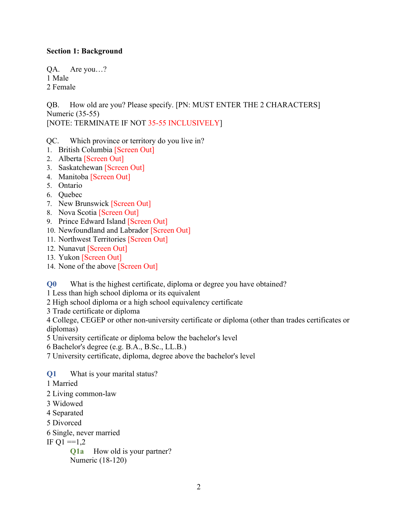# **Section 1: Background**

QA. Are you…? 1 Male 2 Female

QB. How old are you? Please specify. [PN: MUST ENTER THE 2 CHARACTERS] Numeric (35-55) [NOTE: TERMINATE IF NOT 35-55 INCLUSIVELY]

QC. Which province or territory do you live in?

- 1. British Columbia [Screen Out]
- 2. Alberta [Screen Out]
- 3. Saskatchewan [Screen Out]
- 4. Manitoba [Screen Out]
- 5. Ontario
- 6. Quebec
- 7. New Brunswick [Screen Out]
- 8. Nova Scotia [Screen Out]
- 9. Prince Edward Island [Screen Out]
- 10. Newfoundland and Labrador [Screen Out]
- 11. Northwest Territories [Screen Out]
- 12. Nunavut [Screen Out]
- 13. Yukon [Screen Out]
- 14. None of the above [Screen Out]

**Q0** What is the highest certificate, diploma or degree you have obtained?

1 Less than high school diploma or its equivalent

2 High school diploma or a high school equivalency certificate

3 Trade certificate or diploma

4 College, CEGEP or other non-university certificate or diploma (other than trades certificates or diplomas)

5 University certificate or diploma below the bachelor's level

6 Bachelor's degree (e.g. B.A., B.Sc., LL.B.)

7 University certificate, diploma, degree above the bachelor's level

**Q1** What is your marital status?

1 Married

2 Living common-law

3 Widowed

4 Separated

5 Divorced

6 Single, never married

IF  $Q1 = 1,2$ 

**Q1a** How old is your partner? Numeric (18-120)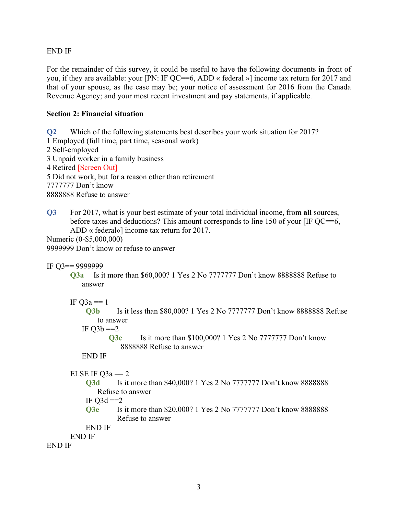END IF

For the remainder of this survey, it could be useful to have the following documents in front of you, if they are available: your [PN: IF QC==6, ADD « federal »] income tax return for 2017 and that of your spouse, as the case may be; your notice of assessment for 2016 from the Canada Revenue Agency; and your most recent investment and pay statements, if applicable.

# **Section 2: Financial situation**

**Q2** Which of the following statements best describes your work situation for 2017? 1 Employed (full time, part time, seasonal work) 2 Self-employed 3 Unpaid worker in a family business 4 Retired [Screen Out] 5 Did not work, but for a reason other than retirement 7777777 Don't know 8888888 Refuse to answer

**Q3** For 2017, what is your best estimate of your total individual income, from **all** sources, before taxes and deductions? This amount corresponds to line 150 of your [IF QC==6, ADD « federal»] income tax return for 2017.

Numeric (0-\$5,000,000) 9999999 Don't know or refuse to answer

```
IF Q3== 9999999
```
**Q3a** Is it more than \$60,000? 1 Yes 2 No 7777777 Don't know 8888888 Refuse to answer

# IF  $Q3a = 1$

**Q3b** Is it less than \$80,000? 1 Yes 2 No 7777777 Don't know 8888888 Refuse to answer

IF  $Q3b == 2$ 

**Q3c** Is it more than \$100,000? 1 Yes 2 No 7777777 Don't know 8888888 Refuse to answer

### END IF

# ELSE IF  $Q3a == 2$

**Q3d** Is it more than \$40,000? 1 Yes 2 No 7777777 Don't know 8888888 Refuse to answer

IF  $O3d == 2$ 

**Q3e** Is it more than \$20,000? 1 Yes 2 No 7777777 Don't know 8888888 Refuse to answer

```
 END IF
```
END IF

END IF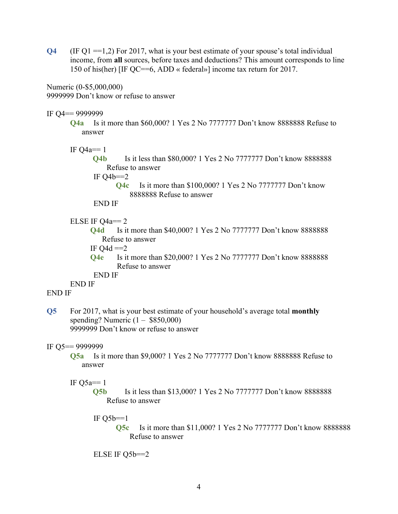**Q4** (IF Q1 ==1,2) For 2017, what is your best estimate of your spouse's total individual income, from **all** sources, before taxes and deductions? This amount corresponds to line 150 of his(her) [IF QC==6, ADD « federal»] income tax return for 2017.

Numeric (0-\$5,000,000) 9999999 Don't know or refuse to answer

### IF Q4== 9999999

**Q4a** Is it more than \$60,000? 1 Yes 2 No 7777777 Don't know 8888888 Refuse to answer

IF  $Q4a == 1$ 

**Q4b** Is it less than \$80,000? 1 Yes 2 No 7777777 Don't know 8888888 Refuse to answer

IF  $Q4b == 2$ 

**Q4c** Is it more than \$100,000? 1 Yes 2 No 7777777 Don't know 8888888 Refuse to answer

END IF

### ELSE IF  $Q4a == 2$

**Q4d** Is it more than \$40,000? 1 Yes 2 No 7777777 Don't know 8888888 Refuse to answer

IF  $Q4d == 2$ 

**Q4e** Is it more than \$20,000? 1 Yes 2 No 7777777 Don't know 8888888 Refuse to answer

END IF

END IF

# END IF

**Q5** For 2017, what is your best estimate of your household's average total **monthly** spending? Numeric  $(1 - $850,000)$ 9999999 Don't know or refuse to answer

### IF Q5== 9999999

**Q5a** Is it more than \$9,000? 1 Yes 2 No 7777777 Don't know 8888888 Refuse to answer

### IF  $O5a==1$

**Q5b** Is it less than \$13,000? 1 Yes 2 No 7777777 Don't know 8888888 Refuse to answer

### IF  $Q5b == 1$

**Q5c** Is it more than \$11,000? 1 Yes 2 No 7777777 Don't know 8888888 Refuse to answer

ELSE IF Q5b==2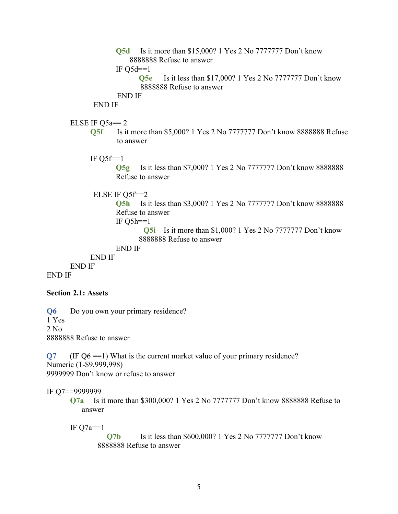**Q5d** Is it more than \$15,000? 1 Yes 2 No 7777777 Don't know 8888888 Refuse to answer

IF  $O5d==1$ 

**Q5e** Is it less than \$17,000? 1 Yes 2 No 7777777 Don't know 8888888 Refuse to answer

# END IF

END IF

### ELSE IF  $Q5a == 2$

- **Q5f** Is it more than \$5,000? 1 Yes 2 No 7777777 Don't know 8888888 Refuse to answer
- IF  $O5f==1$

**Q5g** Is it less than \$7,000? 1 Yes 2 No 7777777 Don't know 8888888 Refuse to answer

### ELSE IF Q5f==2

**Q5h** Is it less than \$3,000? 1 Yes 2 No 7777777 Don't know 8888888 Refuse to answer

IF  $Q5h==1$ 

**Q5i** Is it more than \$1,000? 1 Yes 2 No 7777777 Don't know 8888888 Refuse to answer

```
END IF
```
END IF END IF

END IF

**Section 2.1: Assets**

**Q6** Do you own your primary residence? 1 Yes 2 No 8888888 Refuse to answer

**Q7** (IF Q6 ==1) What is the current market value of your primary residence? Numeric (1-\$9,999,998) 9999999 Don't know or refuse to answer

IF Q7==9999999

**Q7a** Is it more than \$300,000? 1 Yes 2 No 7777777 Don't know 8888888 Refuse to answer

IF  $Q7a==1$ 

**Q7b** Is it less than \$600,000? 1 Yes 2 No 7777777 Don't know 8888888 Refuse to answer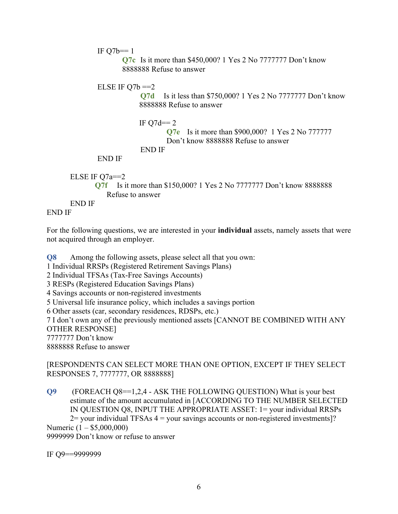IF  $Q7b == 1$ 

**Q7c** Is it more than \$450,000? 1 Yes 2 No 7777777 Don't know 8888888 Refuse to answer

```
ELSE IF Q7b == 2
```
**Q7d** Is it less than \$750,000? 1 Yes 2 No 7777777 Don't know 8888888 Refuse to answer

IF  $O7d== 2$ **Q7e** Is it more than \$900,000? 1 Yes 2 No 777777 Don't know 8888888 Refuse to answer END IF

END IF

```
ELSE IF Q7a==2Q7f Is it more than $150,000? 1 Yes 2 No 7777777 Don't know 8888888 
          Refuse to answer 
END IF
```
END IF

For the following questions, we are interested in your **individual** assets, namely assets that were not acquired through an employer.

**Q8** Among the following assets, please select all that you own:

1 Individual RRSPs (Registered Retirement Savings Plans)

2 Individual TFSAs (Tax-Free Savings Accounts)

3 RESPs (Registered Education Savings Plans)

4 Savings accounts or non-registered investments

5 Universal life insurance policy, which includes a savings portion

6 Other assets (car, secondary residences, RDSPs, etc.)

7 I don't own any of the previously mentioned assets [CANNOT BE COMBINED WITH ANY OTHER RESPONSE]

7777777 Don't know

8888888 Refuse to answer

### [RESPONDENTS CAN SELECT MORE THAN ONE OPTION, EXCEPT IF THEY SELECT RESPONSES 7, 7777777, OR 8888888]

**Q9** (FOREACH Q8==1,2,4 - ASK THE FOLLOWING QUESTION) What is your best estimate of the amount accumulated in [ACCORDING TO THE NUMBER SELECTED IN QUESTION Q8, INPUT THE APPROPRIATE ASSET: 1= your individual RRSPs  $2$ = your individual TFSAs  $4$  = your savings accounts or non-registered investments]? Numeric (1 – \$5,000,000) 9999999 Don't know or refuse to answer

IF Q9==9999999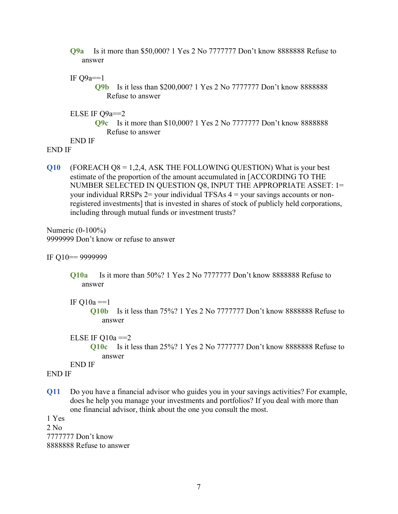- **Q9a** Is it more than \$50,000? 1 Yes 2 No 7777777 Don't know 8888888 Refuse to answer
- IF  $Q9a==1$

**Q9b** Is it less than \$200,000? 1 Yes 2 No 7777777 Don't know 8888888 Refuse to answer

ELSE IF Q9a==2

**Q9c** Is it more than \$10,000? 1 Yes 2 No 7777777 Don't know 8888888 Refuse to answer

END IF

- END IF
- **Q10** (FOREACH Q8 = 1,2,4, ASK THE FOLLOWING QUESTION) What is your best estimate of the proportion of the amount accumulated in [ACCORDING TO THE NUMBER SELECTED IN QUESTION Q8, INPUT THE APPROPRIATE ASSET: 1= your individual RRSPs  $2 =$ your individual TFSAs  $4 =$ your savings accounts or nonregistered investments] that is invested in shares of stock of publicly held corporations, including through mutual funds or investment trusts?

Numeric (0-100%) 9999999 Don't know or refuse to answer

IF Q10== 9999999

- **Q10a** Is it more than 50%? 1 Yes 2 No 7777777 Don't know 8888888 Refuse to answer
- IF  $Q10a == 1$

**Q10b** Is it less than 75%? 1 Yes 2 No 7777777 Don't know 8888888 Refuse to answer

- ELSE IF  $Q10a == 2$ 
	- **Q10c** Is it less than 25%? 1 Yes 2 No 7777777 Don't know 8888888 Refuse to answer

END IF

#### END IF

**Q11** Do you have a financial advisor who guides you in your savings activities? For example, does he help you manage your investments and portfolios? If you deal with more than one financial advisor, think about the one you consult the most.

1 Yes

2 No 7777777 Don't know 8888888 Refuse to answer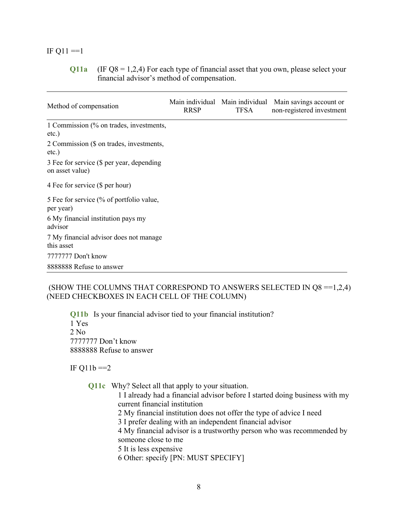### IF  $Q11 == 1$

**Q11a** (IF Q8 = 1,2,4) For each type of financial asset that you own, please select your financial advisor's method of compensation.

L,

| Method of compensation                                       | <b>RRSP</b> | Main individual Main individual<br><b>TFSA</b> | Main savings account or<br>non-registered investment |
|--------------------------------------------------------------|-------------|------------------------------------------------|------------------------------------------------------|
| 1 Commission (% on trades, investments,<br>$etc.$ )          |             |                                                |                                                      |
| 2 Commission (\$ on trades, investments,<br>$etc.$ )         |             |                                                |                                                      |
| 3 Fee for service (\$ per year, depending<br>on asset value) |             |                                                |                                                      |
| 4 Fee for service (\$ per hour)                              |             |                                                |                                                      |
| 5 Fee for service (% of portfolio value,<br>per year)        |             |                                                |                                                      |
| 6 My financial institution pays my<br>advisor                |             |                                                |                                                      |
| 7 My financial advisor does not manage<br>this asset         |             |                                                |                                                      |
| 7777777 Don't know                                           |             |                                                |                                                      |
| 8888888 Refuse to answer                                     |             |                                                |                                                      |

### (SHOW THE COLUMNS THAT CORRESPOND TO ANSWERS SELECTED IN  $Q8 = 1,2,4$ ) (NEED CHECKBOXES IN EACH CELL OF THE COLUMN)

**Q11b** Is your financial advisor tied to your financial institution? 1 Yes 2 No 7777777 Don't know 8888888 Refuse to answer

IF  $Q11b == 2$ 

**Q11c** Why? Select all that apply to your situation.

1 I already had a financial advisor before I started doing business with my current financial institution

- 2 My financial institution does not offer the type of advice I need
- 3 I prefer dealing with an independent financial advisor

4 My financial advisor is a trustworthy person who was recommended by someone close to me

5 It is less expensive

6 Other: specify [PN: MUST SPECIFY]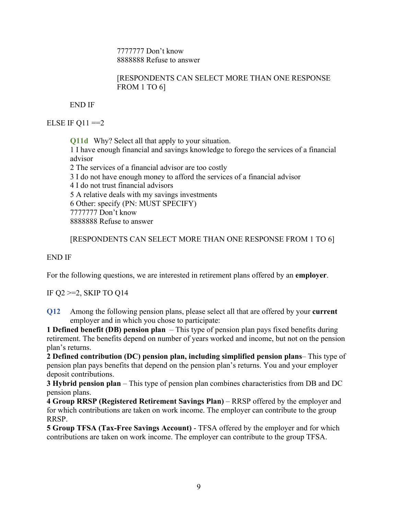7777777 Don't know 8888888 Refuse to answer

# [RESPONDENTS CAN SELECT MORE THAN ONE RESPONSE FROM 1 TO 6]

END IF

ELSE IF  $Q11 == 2$ 

**Q11d** Why? Select all that apply to your situation. 1 I have enough financial and savings knowledge to forego the services of a financial advisor 2 The services of a financial advisor are too costly 3 I do not have enough money to afford the services of a financial advisor 4 I do not trust financial advisors 5 A relative deals with my savings investments 6 Other: specify (PN: MUST SPECIFY) 7777777 Don't know 8888888 Refuse to answer

[RESPONDENTS CAN SELECT MORE THAN ONE RESPONSE FROM 1 TO 6]

END IF

For the following questions, we are interested in retirement plans offered by an **employer**.

IF Q2 >=2, SKIP TO Q14

**Q12** Among the following pension plans, please select all that are offered by your **current** employer and in which you chose to participate:

**1 Defined benefit (DB) pension plan** – This type of pension plan pays fixed benefits during retirement. The benefits depend on number of years worked and income, but not on the pension plan's returns.

**2 Defined contribution (DC) pension plan, including simplified pension plans**– This type of pension plan pays benefits that depend on the pension plan's returns. You and your employer deposit contributions.

**3 Hybrid pension plan** – This type of pension plan combines characteristics from DB and DC pension plans.

**4 Group RRSP (Registered Retirement Savings Plan)** – RRSP offered by the employer and for which contributions are taken on work income. The employer can contribute to the group RRSP.

**5 Group TFSA (Tax-Free Savings Account)** - TFSA offered by the employer and for which contributions are taken on work income. The employer can contribute to the group TFSA.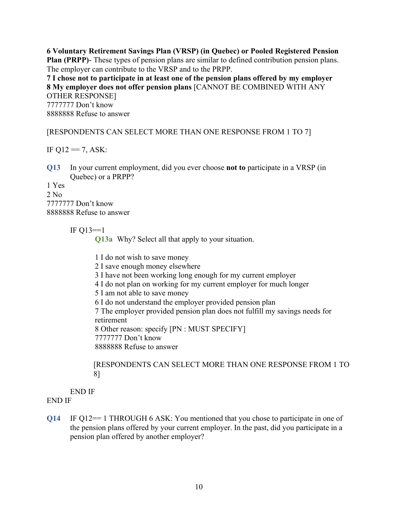**6 Voluntary Retirement Savings Plan (VRSP) (in Quebec) or Pooled Registered Pension Plan (PRPP)**- These types of pension plans are similar to defined contribution pension plans. The employer can contribute to the VRSP and to the PRPP.

**7 I chose not to participate in at least one of the pension plans offered by my employer 8 My employer does not offer pension plans** [CANNOT BE COMBINED WITH ANY OTHER RESPONSE]

7777777 Don't know 8888888 Refuse to answer

[RESPONDENTS CAN SELECT MORE THAN ONE RESPONSE FROM 1 TO 7]

IF  $Q12 == 7$ , ASK:

**Q13** In your current employment, did you ever choose **not to** participate in a VRSP (in Quebec) or a PRPP?

1 Yes 2 No 7777777 Don't know 8888888 Refuse to answer

IF  $O13 == 1$ 

**Q13a** Why? Select all that apply to your situation.

1 I do not wish to save money 2 I save enough money elsewhere 3 I have not been working long enough for my current employer 4 I do not plan on working for my current employer for much longer 5 I am not able to save money 6 I do not understand the employer provided pension plan 7 The employer provided pension plan does not fulfill my savings needs for retirement 8 Other reason: specify [PN : MUST SPECIFY] 7777777 Don't know 8888888 Refuse to answer

[RESPONDENTS CAN SELECT MORE THAN ONE RESPONSE FROM 1 TO 8]

END IF

END IF

**Q14** IF Q12== 1 THROUGH 6 ASK: You mentioned that you chose to participate in one of the pension plans offered by your current employer. In the past, did you participate in a pension plan offered by another employer?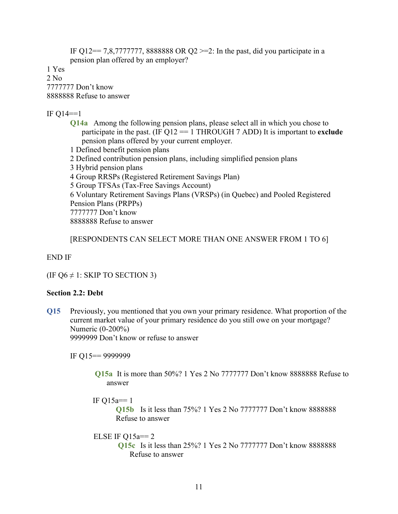IF Q12= 7,8,7777777, 8888888 OR Q2 > = 2: In the past, did you participate in a pension plan offered by an employer?

1 Yes

2 No 7777777 Don't know

8888888 Refuse to answer

IF  $Q14 == 1$ 

**Q14a** Among the following pension plans, please select all in which you chose to participate in the past. (IF Q12 == 1 THROUGH 7 ADD) It is important to **exclude** pension plans offered by your current employer.

1 Defined benefit pension plans

2 Defined contribution pension plans, including simplified pension plans

3 Hybrid pension plans

4 Group RRSPs (Registered Retirement Savings Plan)

5 Group TFSAs (Tax-Free Savings Account)

6 Voluntary Retirement Savings Plans (VRSPs) (in Quebec) and Pooled Registered Pension Plans (PRPPs) 7777777 Don't know

8888888 Refuse to answer

[RESPONDENTS CAN SELECT MORE THAN ONE ANSWER FROM 1 TO 6]

END IF

(IF Q6  $\neq$  1: SKIP TO SECTION 3)

### **Section 2.2: Debt**

**Q15** Previously, you mentioned that you own your primary residence. What proportion of the current market value of your primary residence do you still owe on your mortgage? Numeric (0-200%)

9999999 Don't know or refuse to answer

IF Q15== 9999999

**Q15a** It is more than 50%? 1 Yes 2 No 7777777 Don't know 8888888 Refuse to answer

IF Q15a== 1

**Q15b** Is it less than 75%? 1 Yes 2 No 7777777 Don't know 8888888 Refuse to answer

### ELSE IF  $Q15a == 2$

**Q15c** Is it less than 25%? 1 Yes 2 No 7777777 Don't know 8888888 Refuse to answer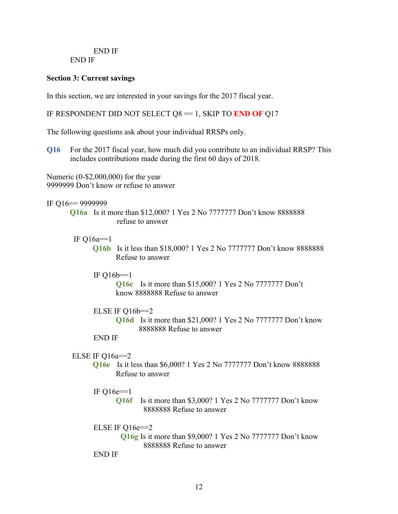#### END IF END IF

### **Section 3: Current savings**

In this section, we are interested in your savings for the 2017 fiscal year.

### IF RESPONDENT DID NOT SELECT  $Q8 = 1$ , SKIP TO **END OF**  $Q17$

The following questions ask about your individual RRSPs only.

**Q16** For the 2017 fiscal year, how much did you contribute to an individual RRSP? This includes contributions made during the first 60 days of 2018.

Numeric (0-\$2,000,000) for the year 9999999 Don't know or refuse to answer

# IF Q16== 9999999

**Q16a** Is it more than \$12,000? 1 Yes 2 No 7777777 Don't know 8888888 refuse to answer

### IF Q16a==1

**Q16b** Is it less than \$18,000? 1 Yes 2 No 7777777 Don't know 8888888 Refuse to answer

### IF  $Q16b == 1$

**Q16c** Is it more than \$15,000? 1 Yes 2 No 7777777 Don't know 8888888 Refuse to answer

### ELSE IF Q16b==2

**Q16d** Is it more than \$21,000? 1 Yes 2 No 7777777 Don't know 8888888 Refuse to answer

### END IF

### ELSE IF Q16a==2

**Q16e** Is it less than \$6,000? 1 Yes 2 No 7777777 Don't know 8888888 Refuse to answer

### IF  $Q16e==1$

**Q16f** Is it more than \$3,000? 1 Yes 2 No 7777777 Don't know 8888888 Refuse to answer

### ELSE IF Q16e==2

**Q16g** Is it more than \$9,000? 1 Yes 2 No 7777777 Don't know 8888888 Refuse to answer

END IF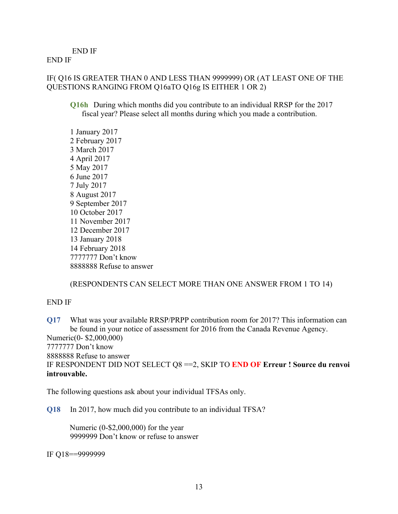END IF

END IF

# IF( Q16 IS GREATER THAN 0 AND LESS THAN 9999999) OR (AT LEAST ONE OF THE QUESTIONS RANGING FROM Q16aTO Q16g IS EITHER 1 OR 2)

**Q16h** During which months did you contribute to an individual RRSP for the 2017 fiscal year? Please select all months during which you made a contribution.

# (RESPONDENTS CAN SELECT MORE THAN ONE ANSWER FROM 1 TO 14)

### END IF

**Q17** What was your available RRSP/PRPP contribution room for 2017? This information can be found in your notice of assessment for 2016 from the Canada Revenue Agency. Numeric(0- \$2,000,000) 7777777 Don't know 8888888 Refuse to answer IF RESPONDENT DID NOT SELECT Q8 ==2, SKIP TO **END OF Erreur ! Source du renvoi introuvable.**

The following questions ask about your individual TFSAs only.

**Q18** In 2017, how much did you contribute to an individual TFSA?

Numeric (0-\$2,000,000) for the year 9999999 Don't know or refuse to answer

IF Q18==9999999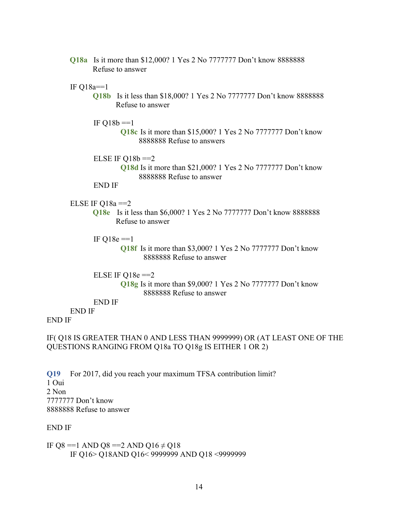**Q18a** Is it more than \$12,000? 1 Yes 2 No 7777777 Don't know 8888888 Refuse to answer

### IF  $Q18a == 1$

**Q18b** Is it less than \$18,000? 1 Yes 2 No 7777777 Don't know 8888888 Refuse to answer

#### IF  $Q18b == 1$

**Q18c** Is it more than \$15,000? 1 Yes 2 No 7777777 Don't know 8888888 Refuse to answers

#### ELSE IF  $O18b == 2$

**Q18d** Is it more than \$21,000? 1 Yes 2 No 7777777 Don't know 8888888 Refuse to answer

#### END IF

### ELSE IF  $Q18a == 2$

- **Q18e** Is it less than \$6,000? 1 Yes 2 No 7777777 Don't know 8888888 Refuse to answer
- IF  $Q18e == 1$ 
	- **Q18f** Is it more than \$3,000? 1 Yes 2 No 7777777 Don't know 8888888 Refuse to answer

### ELSE IF  $Q18e == 2$ **Q18g** Is it more than \$9,000? 1 Yes 2 No 7777777 Don't know 8888888 Refuse to answer

END IF

# END IF

### END IF

### IF( Q18 IS GREATER THAN 0 AND LESS THAN 9999999) OR (AT LEAST ONE OF THE QUESTIONS RANGING FROM Q18a TO Q18g IS EITHER 1 OR 2)

**Q19** For 2017, did you reach your maximum TFSA contribution limit? 1 Oui 2 Non 7777777 Don't know 8888888 Refuse to answer

#### END IF

IF Q8 ==1 AND Q8 ==2 AND Q16  $\neq$  Q18 IF Q16> Q18AND Q16< 9999999 AND Q18 <9999999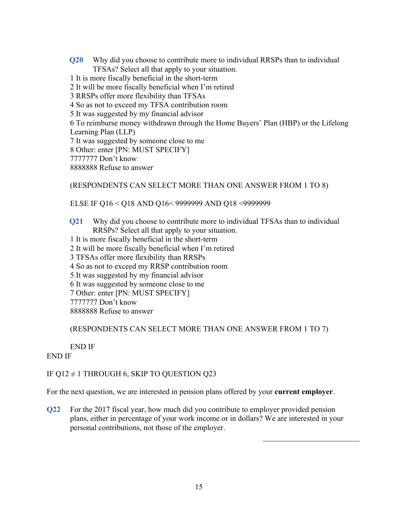**Q20** Why did you choose to contribute more to individual RRSPs than to individual TFSAs? Select all that apply to your situation.

1 It is more fiscally beneficial in the short-term

- 2 It will be more fiscally beneficial when I'm retired
- 3 RRSPs offer more flexibility than TFSAs
- 4 So as not to exceed my TFSA contribution room
- 5 It was suggested by my financial advisor

6 To reimburse money withdrawn through the Home Buyers' Plan (HBP) or the Lifelong Learning Plan (LLP)

7 It was suggested by someone close to me

8 Other: enter [PN: MUST SPECIFY]

7777777 Don't know

8888888 Refuse to answer

### (RESPONDENTS CAN SELECT MORE THAN ONE ANSWER FROM 1 TO 8)

### ELSE IF Q16 < Q18 AND Q16< 9999999 AND Q18 <9999999

**Q21** Why did you choose to contribute more to individual TFSAs than to individual RRSPs? Select all that apply to your situation.

- 1 It is more fiscally beneficial in the short-term
- 2 It will be more fiscally beneficial when I'm retired
- 3 TFSAs offer more flexibility than RRSPs
- 4 So as not to exceed my RRSP contribution room
- 5 It was suggested by my financial advisor
- 6 It was suggested by someone close to me
- 7 Other: enter [PN: MUST SPECIFY]

7777777 Don't know

8888888 Refuse to answer

# (RESPONDENTS CAN SELECT MORE THAN ONE ANSWER FROM 1 TO 7)

### END IF

### END IF

# IF Q12  $\neq$  1 THROUGH 6, SKIP TO QUESTION Q23

For the next question, we are interested in pension plans offered by your **current employer**.

**Q22** For the 2017 fiscal year, how much did you contribute to employer provided pension plans, either in percentage of your work income or in dollars? We are interested in your personal contributions, not those of the employer.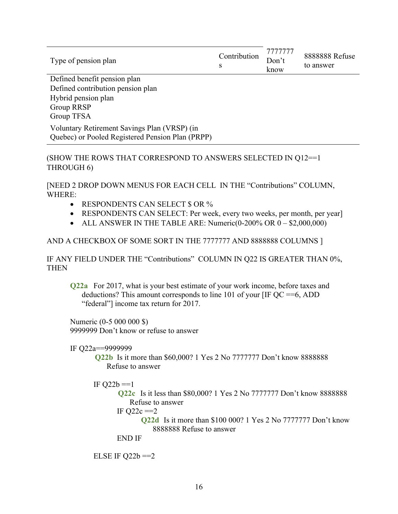| Type of pension plan                                                                             | Contribution<br>S | 7777777<br>Don't<br>know | 8888888 Refuse<br>to answer |
|--------------------------------------------------------------------------------------------------|-------------------|--------------------------|-----------------------------|
| Defined benefit pension plan                                                                     |                   |                          |                             |
| Defined contribution pension plan                                                                |                   |                          |                             |
| Hybrid pension plan                                                                              |                   |                          |                             |
| <b>Group RRSP</b>                                                                                |                   |                          |                             |
| Group TFSA                                                                                       |                   |                          |                             |
| Voluntary Retirement Savings Plan (VRSP) (in<br>Quebec) or Pooled Registered Pension Plan (PRPP) |                   |                          |                             |

# (SHOW THE ROWS THAT CORRESPOND TO ANSWERS SELECTED IN Q12==1 THROUGH 6)

[NEED 2 DROP DOWN MENUS FOR EACH CELL IN THE "Contributions" COLUMN, WHERE:

- RESPONDENTS CAN SELECT \$ OR %
- RESPONDENTS CAN SELECT: Per week, every two weeks, per month, per year]
- ALL ANSWER IN THE TABLE ARE: Numeric(0-200% OR 0 \$2,000,000)

# AND A CHECKBOX OF SOME SORT IN THE 7777777 AND 8888888 COLUMNS ]

IF ANY FIELD UNDER THE "Contributions" COLUMN IN Q22 IS GREATER THAN 0%, THEN

**Q22a** For 2017, what is your best estimate of your work income, before taxes and deductions? This amount corresponds to line 101 of your [IF  $QC = 6$ , ADD "federal"] income tax return for 2017.

Numeric (0-5 000 000 \$) 9999999 Don't know or refuse to answer

IF Q22a==9999999

**Q22b** Is it more than \$60,000? 1 Yes 2 No 7777777 Don't know 8888888 Refuse to answer

IF  $Q22b == 1$ 

**Q22c** Is it less than \$80,000? 1 Yes 2 No 7777777 Don't know 8888888 Refuse to answer

IF  $O22c == 2$ 

**Q22d** Is it more than \$100 000? 1 Yes 2 No 7777777 Don't know 8888888 Refuse to answer

END IF

```
ELSE IF Q22b == 2
```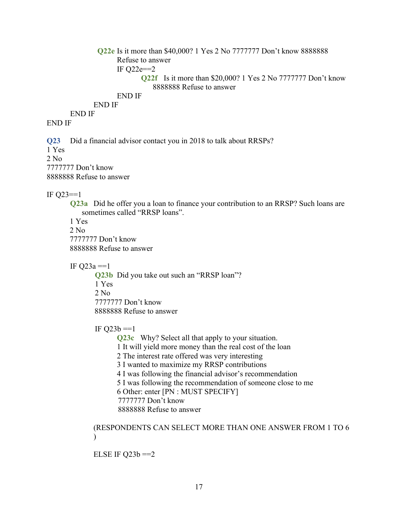```
Q22e Is it more than $40,000? 1 Yes 2 No 7777777 Don't know 8888888 
             Refuse to answer
             IF Q22e==2
                    Q22f Is it more than $20,000? 1 Yes 2 No 7777777 Don't know 
                        8888888 Refuse to answer
             END IF
      END IF
END IF
```
### END IF

**Q23** Did a financial advisor contact you in 2018 to talk about RRSPs? 1 Yes  $2$  No. 7777777 Don't know 8888888 Refuse to answer

IF Q23==1

**Q23a** Did he offer you a loan to finance your contribution to an RRSP? Such loans are sometimes called "RRSP loans".

1 Yes 2 No 7777777 Don't know 8888888 Refuse to answer

IF  $Q23a = 1$ 

**Q23b** Did you take out such an "RRSP loan"? 1 Yes 2 No 7777777 Don't know 8888888 Refuse to answer

IF  $Q23b == 1$ 

**Q23c** Why? Select all that apply to your situation. 1 It will yield more money than the real cost of the loan 2 The interest rate offered was very interesting 3 I wanted to maximize my RRSP contributions 4 I was following the financial advisor's recommendation 5 I was following the recommendation of someone close to me 6 Other: enter [PN : MUST SPECIFY] 7777777 Don't know 8888888 Refuse to answer

### (RESPONDENTS CAN SELECT MORE THAN ONE ANSWER FROM 1 TO 6  $\lambda$

ELSE IF  $Q23b == 2$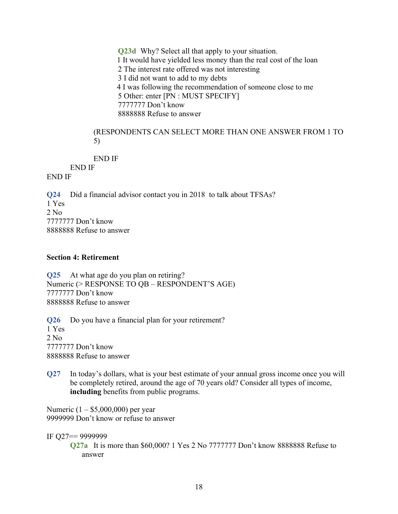**Q23d** Why? Select all that apply to your situation. 1 It would have yielded less money than the real cost of the loan 2 The interest rate offered was not interesting 3 I did not want to add to my debts 4 I was following the recommendation of someone close to me 5 Other: enter [PN : MUST SPECIFY] 7777777 Don't know 8888888 Refuse to answer

(RESPONDENTS CAN SELECT MORE THAN ONE ANSWER FROM 1 TO 5)

END IF

END IF

END IF

**Q24** Did a financial advisor contact you in 2018 to talk about TFSAs? 1 Yes 2 No 7777777 Don't know 8888888 Refuse to answer

### **Section 4: Retirement**

**Q25** At what age do you plan on retiring? Numeric (> RESPONSE TO QB – RESPONDENT'S AGE) 7777777 Don't know 8888888 Refuse to answer

**Q26** Do you have a financial plan for your retirement? 1 Yes  $2$  No. 7777777 Don't know 8888888 Refuse to answer

**Q27** In today's dollars, what is your best estimate of your annual gross income once you will be completely retired, around the age of 70 years old? Consider all types of income, **including** benefits from public programs.

Numeric (1 – \$5,000,000) per year 9999999 Don't know or refuse to answer

IF Q27== 9999999

**Q27a** It is more than \$60,000? 1 Yes 2 No 7777777 Don't know 8888888 Refuse to answer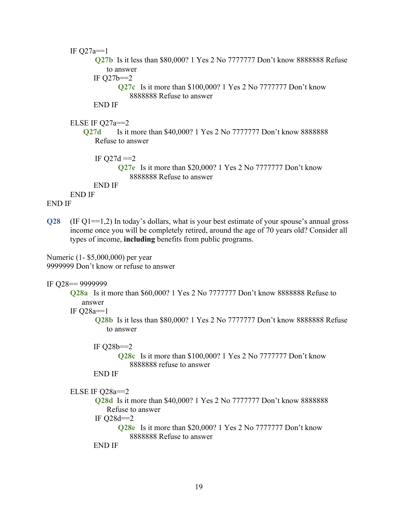IF  $Q27a == 1$ **Q27b** Is it less than \$80,000? 1 Yes 2 No 7777777 Don't know 8888888 Refuse to answer IF  $Q27b == 2$ **Q27c** Is it more than \$100,000? 1 Yes 2 No 7777777 Don't know 8888888 Refuse to answer END IF ELSE IF Q27a==2 **Q27d** Is it more than \$40,000? 1 Yes 2 No 7777777 Don't know 8888888 Refuse to answer IF  $Q27d == 2$ **Q27e** Is it more than \$20,000? 1 Yes 2 No 7777777 Don't know

8888888 Refuse to answer

END IF

END IF

END IF

**Q28** (IF Q1==1,2) In today's dollars, what is your best estimate of your spouse's annual gross income once you will be completely retired, around the age of 70 years old? Consider all types of income, **including** benefits from public programs.

Numeric (1- \$5,000,000) per year 9999999 Don't know or refuse to answer

### IF Q28== 9999999

**Q28a** Is it more than \$60,000? 1 Yes 2 No 7777777 Don't know 8888888 Refuse to answer

IF Q28a==1

**Q28b** Is it less than \$80,000? 1 Yes 2 No 7777777 Don't know 8888888 Refuse to answer

### IF  $Q28b == 2$

**Q28c** Is it more than \$100,000? 1 Yes 2 No 7777777 Don't know 8888888 refuse to answer

END IF

```
ELSE IF Q28a==2
```
**Q28d** Is it more than \$40,000? 1 Yes 2 No 7777777 Don't know 8888888 Refuse to answer

IF Q28d==2

**Q28e** Is it more than \$20,000? 1 Yes 2 No 7777777 Don't know 8888888 Refuse to answer

END IF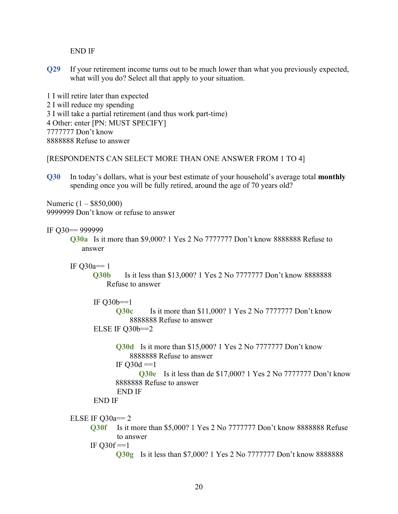END IF

**Q29** If your retirement income turns out to be much lower than what you previously expected, what will you do? Select all that apply to your situation.

1 I will retire later than expected 2 I will reduce my spending 3 I will take a partial retirement (and thus work part-time) 4 Other: enter [PN: MUST SPECIFY] 7777777 Don't know 8888888 Refuse to answer

[RESPONDENTS CAN SELECT MORE THAN ONE ANSWER FROM 1 TO 4]

**Q30** In today's dollars, what is your best estimate of your household's average total **monthly** spending once you will be fully retired, around the age of 70 years old?

Numeric (1 – \$850,000) 9999999 Don't know or refuse to answer

IF Q30== 999999

**Q30a** Is it more than \$9,000? 1 Yes 2 No 7777777 Don't know 8888888 Refuse to answer

IF  $Q30a==1$ 

**Q30b** Is it less than \$13,000? 1 Yes 2 No 7777777 Don't know 8888888 Refuse to answer

```
IF Q30b == 1Q30c Is it more than $11,000? 1 Yes 2 No 7777777 Don't know 
          8888888 Refuse to answer 
ELSE IF Q30b==2
```

```
Q30d Is it more than $15,000? 1 Yes 2 No 7777777 Don't know 
    8888888 Refuse to answer 
IF Q30d == 1
```
**Q30e** Is it less than de \$17,000? 1 Yes 2 No 7777777 Don't know 8888888 Refuse to answer

```
END IF
```
END IF

```
ELSE IF Q30a==2
```
**Q30f** Is it more than \$5,000? 1 Yes 2 No 7777777 Don't know 8888888 Refuse to answer

IF  $Q30f == 1$ 

**Q30g** Is it less than \$7,000? 1 Yes 2 No 7777777 Don't know 8888888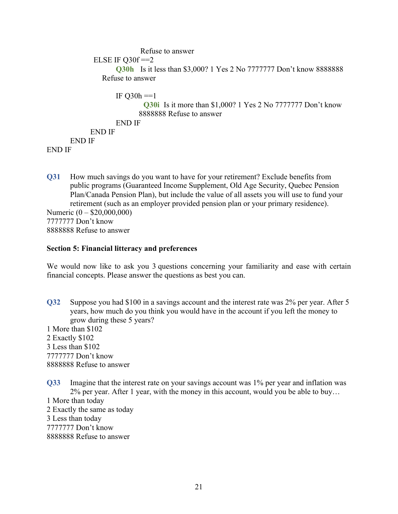```
Refuse to answer
             ELSE IF Q30f = 2Q30h Is it less than $3,000? 1 Yes 2 No 7777777 Don't know 8888888 
               Refuse to answer
                   IF O30h == 1Q30i Is it more than $1,000? 1 Yes 2 No 7777777 Don't know 
                          8888888 Refuse to answer
                   END IF
            END IF
      END IF
END IF
```
**Q31** How much savings do you want to have for your retirement? Exclude benefits from public programs (Guaranteed Income Supplement, Old Age Security, Quebec Pension Plan/Canada Pension Plan), but include the value of all assets you will use to fund your retirement (such as an employer provided pension plan or your primary residence). Numeric (0 – \$20,000,000) 7777777 Don't know 8888888 Refuse to answer

#### **Section 5: Financial litteracy and preferences**

We would now like to ask you 3 questions concerning your familiarity and ease with certain financial concepts. Please answer the questions as best you can.

**Q32** Suppose you had \$100 in a savings account and the interest rate was 2% per year. After 5 years, how much do you think you would have in the account if you left the money to grow during these 5 years?

1 More than \$102 2 Exactly \$102 3 Less than \$102 7777777 Don't know 8888888 Refuse to answer

**Q33** Imagine that the interest rate on your savings account was 1% per year and inflation was 2% per year. After 1 year, with the money in this account, would you be able to buy…

1 More than today 2 Exactly the same as today 3 Less than today 7777777 Don't know 8888888 Refuse to answer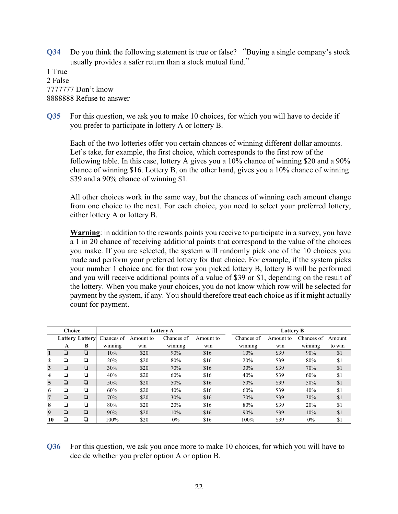**Q34** Do you think the following statement is true or false? "Buying a single company's stock usually provides a safer return than a stock mutual fund. 

1 True 2 False 7777777 Don't know 8888888 Refuse to answer

**Q35** For this question, we ask you to make 10 choices, for which you will have to decide if you prefer to participate in lottery A or lottery B.

Each of the two lotteries offer you certain chances of winning different dollar amounts. Let's take, for example, the first choice, which corresponds to the first row of the following table. In this case, lottery A gives you a 10% chance of winning \$20 and a 90% chance of winning \$16. Lottery B, on the other hand, gives you a 10% chance of winning \$39 and a 90% chance of winning \$1.

All other choices work in the same way, but the chances of winning each amount change from one choice to the next. For each choice, you need to select your preferred lottery, either lottery A or lottery B.

**Warning**: in addition to the rewards points you receive to participate in a survey, you have a 1 in 20 chance of receiving additional points that correspond to the value of the choices you make. If you are selected, the system will randomly pick one of the 10 choices you made and perform your preferred lottery for that choice. For example, if the system picks your number 1 choice and for that row you picked lottery B, lottery B will be performed and you will receive additional points of a value of \$39 or \$1, depending on the result of the lottery. When you make your choices, you do not know which row will be selected for payment by the system, if any. You should therefore treat each choice as if it might actually count for payment.

| <b>Choice</b>  |   | Lottery A              |            |           | <b>Lottery B</b> |           |            |           |            |        |
|----------------|---|------------------------|------------|-----------|------------------|-----------|------------|-----------|------------|--------|
|                |   | <b>Lottery Lottery</b> | Chances of | Amount to | Chances of       | Amount to | Chances of | Amount to | Chances of | Amount |
|                | A | В                      | winning    | win       | winning          | win       | winning    | win       | winning    | to win |
|                | ◘ | $\Box$                 | 10%        | \$20      | 90%              | \$16      | 10%        | \$39      | 90%        | \$1    |
|                | ◘ | o                      | 20%        | \$20      | 80%              | \$16      | 20%        | \$39      | 80%        | \$1    |
| 3              | ◘ | $\Box$                 | 30%        | \$20      | 70%              | \$16      | 30%        | \$39      | 70%        | \$1    |
| 4              | ◘ | ◘                      | 40%        | \$20      | 60%              | \$16      | 40%        | \$39      | 60%        | \$1    |
| $\overline{5}$ | ◘ | $\Box$                 | 50%        | \$20      | 50%              | \$16      | 50%        | \$39      | 50%        | \$1    |
| 6              | ◘ | o                      | 60%        | \$20      | 40%              | \$16      | 60%        | \$39      | 40%        | \$1    |
| 7              | ❏ | $\Box$                 | 70%        | \$20      | 30%              | \$16      | 70%        | \$39      | 30%        | \$1    |
| 8              | ◘ | o                      | 80%        | \$20      | 20%              | \$16      | 80%        | \$39      | 20%        | \$1    |
| 9              | ❏ | $\Box$                 | 90%        | \$20      | 10%              | \$16      | 90%        | \$39      | 10%        | \$1    |
| 10             | ❏ | ❏                      | 100%       | \$20      | $0\%$            | \$16      | 100%       | \$39      | $0\%$      | \$1    |

# **Q36** For this question, we ask you once more to make 10 choices, for which you will have to decide whether you prefer option A or option B.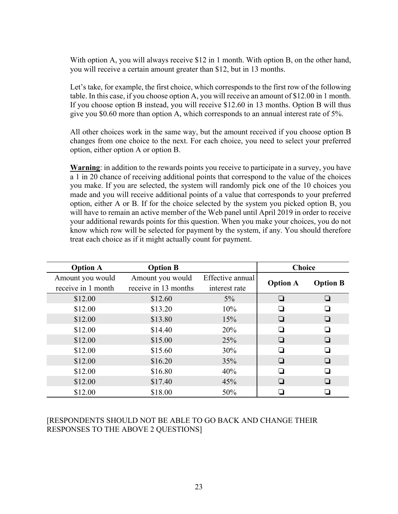With option A, you will always receive \$12 in 1 month. With option B, on the other hand, you will receive a certain amount greater than \$12, but in 13 months.

Let's take, for example, the first choice, which corresponds to the first row of the following table. In this case, if you choose option A, you will receive an amount of \$12.00 in 1 month. If you choose option B instead, you will receive \$12.60 in 13 months. Option B will thus give you \$0.60 more than option A, which corresponds to an annual interest rate of 5%.

All other choices work in the same way, but the amount received if you choose option B changes from one choice to the next. For each choice, you need to select your preferred option, either option A or option B.

**Warning**: in addition to the rewards points you receive to participate in a survey, you have a 1 in 20 chance of receiving additional points that correspond to the value of the choices you make. If you are selected, the system will randomly pick one of the 10 choices you made and you will receive additional points of a value that corresponds to your preferred option, either A or B. If for the choice selected by the system you picked option B, you will have to remain an active member of the Web panel until April 2019 in order to receive your additional rewards points for this question. When you make your choices, you do not know which row will be selected for payment by the system, if any. You should therefore treat each choice as if it might actually count for payment.

| <b>Option A</b>    | <b>Option B</b>      |                  | <b>Choice</b>            |                 |  |
|--------------------|----------------------|------------------|--------------------------|-----------------|--|
| Amount you would   | Amount you would     | Effective annual |                          |                 |  |
| receive in 1 month | receive in 13 months | interest rate    | <b>Option A</b>          | <b>Option B</b> |  |
| \$12.00            | \$12.60              | $5\%$            | ❏                        | $\Box$          |  |
| \$12.00            | \$13.20              | 10%              |                          |                 |  |
| \$12.00            | \$13.80              | 15%              | ⊔                        | ⊔               |  |
| \$12.00            | \$14.40              | 20%              | ⊔                        |                 |  |
| \$12.00            | \$15.00              | 25%              | ⊔                        |                 |  |
| \$12.00            | \$15.60              | 30%              | $\overline{\phantom{0}}$ |                 |  |
| \$12.00            | \$16.20              | 35%              | ⊔                        |                 |  |
| \$12.00            | \$16.80              | 40%              | $\overline{\phantom{a}}$ |                 |  |
| \$12.00            | \$17.40              | 45%              | $\Box$                   |                 |  |
| \$12.00            | \$18.00              | 50%              |                          |                 |  |

# [RESPONDENTS SHOULD NOT BE ABLE TO GO BACK AND CHANGE THEIR RESPONSES TO THE ABOVE 2 QUESTIONS]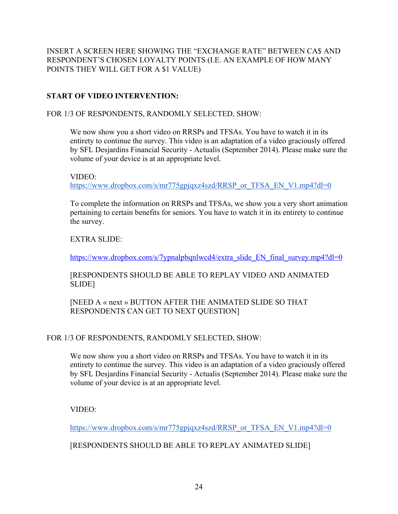INSERT A SCREEN HERE SHOWING THE "EXCHANGE RATE" BETWEEN CA\$ AND RESPONDENT'S CHOSEN LOYALTY POINTS (I.E. AN EXAMPLE OF HOW MANY POINTS THEY WILL GET FOR A \$1 VALUE)

# **START OF VIDEO INTERVENTION:**

# FOR 1/3 OF RESPONDENTS, RANDOMLY SELECTED, SHOW:

We now show you a short video on RRSPs and TFSAs. You have to watch it in its entirety to continue the survey. This video is an adaptation of a video graciously offered by SFL Desjardins Financial Security - Actualis (September 2014). Please make sure the volume of your device is at an appropriate level.

### VIDEO:

https://www.dropbox.com/s/mr775gpjqxz4szd/RRSP\_or\_TFSA\_EN\_V1.mp4?dl=0

To complete the information on RRSPs and TFSAs, we show you a very short animation pertaining to certain benefits for seniors. You have to watch it in its entirety to continue the survey.

# EXTRA SLIDE:

https://www.dropbox.com/s/7ypnalpbqnlwcd4/extra\_slide\_EN\_final\_survey.mp4?dl=0

[RESPONDENTS SHOULD BE ABLE TO REPLAY VIDEO AND ANIMATED SLIDE]

[NEED A « next » BUTTON AFTER THE ANIMATED SLIDE SO THAT RESPONDENTS CAN GET TO NEXT QUESTION]

# FOR 1/3 OF RESPONDENTS, RANDOMLY SELECTED, SHOW:

We now show you a short video on RRSPs and TFSAs. You have to watch it in its entirety to continue the survey. This video is an adaptation of a video graciously offered by SFL Desjardins Financial Security - Actualis (September 2014). Please make sure the volume of your device is at an appropriate level.

# VIDEO:

https://www.dropbox.com/s/mr775gpjqxz4szd/RRSP\_or\_TFSA\_EN\_V1.mp4?dl=0

# [RESPONDENTS SHOULD BE ABLE TO REPLAY ANIMATED SLIDE]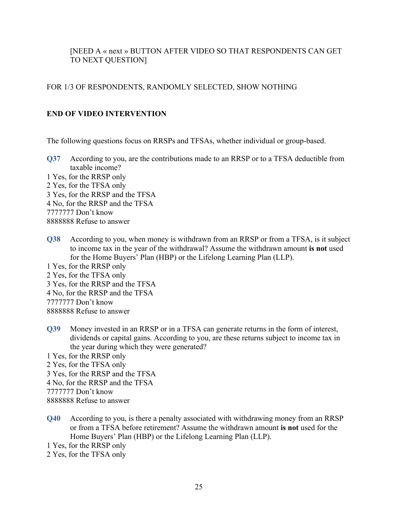# [NEED A « next » BUTTON AFTER VIDEO SO THAT RESPONDENTS CAN GET TO NEXT QUESTION]

### FOR 1/3 OF RESPONDENTS, RANDOMLY SELECTED, SHOW NOTHING

### **END OF VIDEO INTERVENTION**

The following questions focus on RRSPs and TFSAs, whether individual or group-based.

- **Q37** According to you, are the contributions made to an RRSP or to a TFSA deductible from taxable income?
- 1 Yes, for the RRSP only 2 Yes, for the TFSA only 3 Yes, for the RRSP and the TFSA 4 No, for the RRSP and the TFSA 7777777 Don't know 8888888 Refuse to answer
- **Q38** According to you, when money is withdrawn from an RRSP or from a TFSA, is it subject to income tax in the year of the withdrawal? Assume the withdrawn amount **is not** used for the Home Buyers' Plan (HBP) or the Lifelong Learning Plan (LLP).

1 Yes, for the RRSP only

- 2 Yes, for the TFSA only
- 3 Yes, for the RRSP and the TFSA
- 4 No, for the RRSP and the TFSA

7777777 Don't know

8888888 Refuse to answer

**Q39** Money invested in an RRSP or in a TFSA can generate returns in the form of interest, dividends or capital gains. According to you, are these returns subject to income tax in the year during which they were generated?

1 Yes, for the RRSP only

- 2 Yes, for the TFSA only
- 3 Yes, for the RRSP and the TFSA
- 4 No, for the RRSP and the TFSA

7777777 Don't know

8888888 Refuse to answer

**Q40** According to you, is there a penalty associated with withdrawing money from an RRSP or from a TFSA before retirement? Assume the withdrawn amount **is not** used for the Home Buyers' Plan (HBP) or the Lifelong Learning Plan (LLP).

1 Yes, for the RRSP only

2 Yes, for the TFSA only